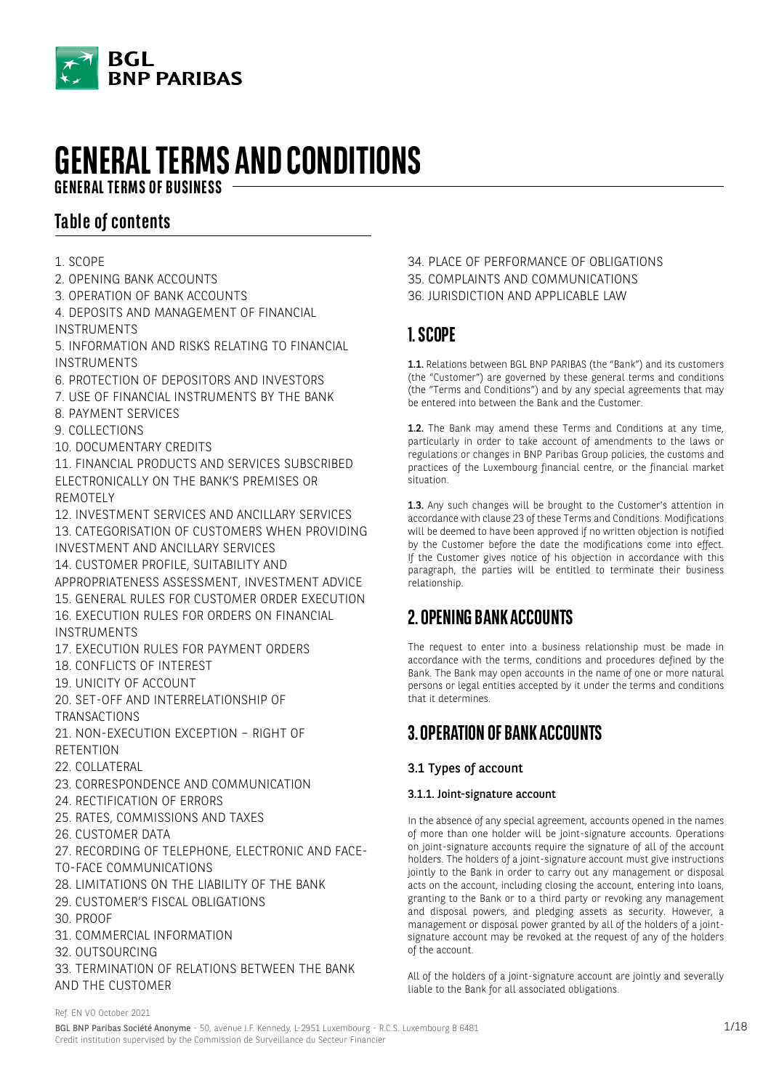

# **GENERAL TERMS AND CONDITIONS**

**GENERAL TERMS OF BUSINESS**

# **Table of contents**

- 1. SCOPE
- 2. OPENING BANK ACCOUNTS
- 3. OPERATION OF BANK ACCOUNTS
- 4. DEPOSITS AND MANAGEMENT OF FINANCIAL INSTRUMENTS

5. INFORMATION AND RISKS RELATING TO FINANCIAL INSTRUMENTS

- 6. PROTECTION OF DEPOSITORS AND INVESTORS
- 7. USE OF FINANCIAL INSTRUMENTS BY THE BANK
- 8. PAYMENT SERVICES
- 9. COLLECTIONS
- 10. DOCUMENTARY CREDITS

11. FINANCIAL PRODUCTS AND SERVICES SUBSCRIBED ELECTRONICALLY ON THE BANK'S PREMISES OR REMOTELY

12. INVESTMENT SERVICES AND ANCILLARY SERVICES 13. CATEGORISATION OF CUSTOMERS WHEN PROVIDING INVESTMENT AND ANCILLARY SERVICES

14. CUSTOMER PROFILE, SUITABILITY AND

APPROPRIATENESS ASSESSMENT, INVESTMENT ADVICE

15. GENERAL RULES FOR CUSTOMER ORDER EXECUTION 16. EXECUTION RULES FOR ORDERS ON FINANCIAL INSTRUMENTS

- 17. EXECUTION RULES FOR PAYMENT ORDERS
- 18. CONFLICTS OF INTEREST
- 19. UNICITY OF ACCOUNT
- 20. SET-OFF AND INTERRELATIONSHIP OF **TRANSACTIONS**
- 21. NON-EXECUTION EXCEPTION RIGHT OF RETENTION
- 22. COLLATERAL
- 23. CORRESPONDENCE AND COMMUNICATION
- 24. RECTIFICATION OF ERRORS
- 25. RATES, COMMISSIONS AND TAXES
- 26. CUSTOMER DATA
- 27. RECORDING OF TELEPHONE, ELECTRONIC AND FACE-
- TO-FACE COMMUNICATIONS
- 28. LIMITATIONS ON THE LIABILITY OF THE BANK
- 29. CUSTOMER'S FISCAL OBLIGATIONS
- 30. PROOF
- 31. COMMERCIAL INFORMATION
- 32. OUTSOURCING
- 33. TERMINATION OF RELATIONS BETWEEN THE BANK AND THE CUSTOMER
- 34. PLACE OF PERFORMANCE OF OBLIGATIONS
- 35. COMPLAINTS AND COMMUNICATIONS
- 36. JURISDICTION AND APPLICABLE LAW

# **1. SCOPE**

1.1. Relations between BGL BNP PARIBAS (the "Bank") and its customers (the "Customer") are governed by these general terms and conditions (the "Terms and Conditions") and by any special agreements that may be entered into between the Bank and the Customer.

1.2. The Bank may amend these Terms and Conditions at any time, particularly in order to take account of amendments to the laws or regulations or changes in BNP Paribas Group policies, the customs and practices of the Luxembourg financial centre, or the financial market situation.

1.3. Any such changes will be brought to the Customer's attention in accordance with clause 23 of these Terms and Conditions. Modifications will be deemed to have been approved if no written objection is notified by the Customer before the date the modifications come into effect. If the Customer gives notice of his objection in accordance with this paragraph, the parties will be entitled to terminate their business relationship.

# **2. OPENING BANK ACCOUNTS**

The request to enter into a business relationship must be made in accordance with the terms, conditions and procedures defined by the Bank. The Bank may open accounts in the name of one or more natural persons or legal entities accepted by it under the terms and conditions that it determines.

# **3. OPERATION OF BANK ACCOUNTS**

# 3.1 Types of account

# 3.1.1. Joint-signature account

In the absence of any special agreement, accounts opened in the names of more than one holder will be joint-signature accounts. Operations on joint-signature accounts require the signature of all of the account holders. The holders of a joint-signature account must give instructions jointly to the Bank in order to carry out any management or disposal acts on the account, including closing the account, entering into loans, granting to the Bank or to a third party or revoking any management and disposal powers, and pledging assets as security. However, a management or disposal power granted by all of the holders of a jointsignature account may be revoked at the request of any of the holders of the account.

All of the holders of a joint-signature account are jointly and severally liable to the Bank for all associated obligations.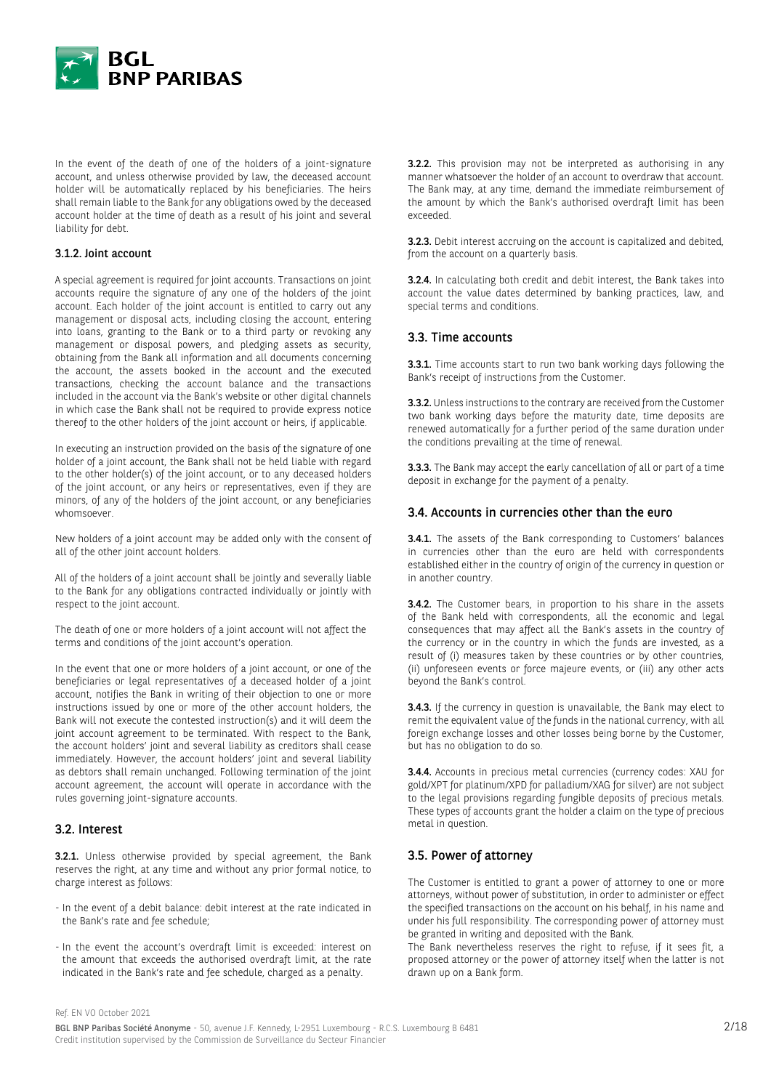

In the event of the death of one of the holders of a joint-signature account, and unless otherwise provided by law, the deceased account holder will be automatically replaced by his beneficiaries. The heirs shall remain liable to the Bank for any obligations owed by the deceased account holder at the time of death as a result of his joint and several liability for debt.

#### 3.1.2. Joint account

A special agreement is required for joint accounts. Transactions on joint accounts require the signature of any one of the holders of the joint account. Each holder of the joint account is entitled to carry out any management or disposal acts, including closing the account, entering into loans, granting to the Bank or to a third party or revoking any management or disposal powers, and pledging assets as security, obtaining from the Bank all information and all documents concerning the account, the assets booked in the account and the executed transactions, checking the account balance and the transactions included in the account via the Bank's website or other digital channels in which case the Bank shall not be required to provide express notice thereof to the other holders of the joint account or heirs, if applicable.

In executing an instruction provided on the basis of the signature of one holder of a joint account, the Bank shall not be held liable with regard to the other holder(s) of the joint account, or to any deceased holders of the joint account, or any heirs or representatives, even if they are minors, of any of the holders of the joint account, or any beneficiaries whomsoever.

New holders of a joint account may be added only with the consent of all of the other joint account holders.

All of the holders of a joint account shall be jointly and severally liable to the Bank for any obligations contracted individually or jointly with respect to the joint account.

The death of one or more holders of a joint account will not affect the terms and conditions of the joint account's operation.

In the event that one or more holders of a joint account, or one of the beneficiaries or legal representatives of a deceased holder of a joint account, notifies the Bank in writing of their objection to one or more instructions issued by one or more of the other account holders, the Bank will not execute the contested instruction(s) and it will deem the joint account agreement to be terminated. With respect to the Bank, the account holders' joint and several liability as creditors shall cease immediately. However, the account holders' joint and several liability as debtors shall remain unchanged. Following termination of the joint account agreement, the account will operate in accordance with the rules governing joint-signature accounts.

### 3.2. Interest

3.2.1. Unless otherwise provided by special agreement, the Bank reserves the right, at any time and without any prior formal notice, to charge interest as follows:

- In the event of a debit balance: debit interest at the rate indicated in the Bank's rate and fee schedule;
- In the event the account's overdraft limit is exceeded: interest on the amount that exceeds the authorised overdraft limit, at the rate indicated in the Bank's rate and fee schedule, charged as a penalty.

**3.2.2.** This provision may not be interpreted as authorising in any manner whatsoever the holder of an account to overdraw that account. The Bank may, at any time, demand the immediate reimbursement of the amount by which the Bank's authorised overdraft limit has been exceeded.

3.2.3. Debit interest accruing on the account is capitalized and debited, from the account on a quarterly basis.

3.2.4. In calculating both credit and debit interest, the Bank takes into account the value dates determined by banking practices, law, and special terms and conditions.

### 3.3. Time accounts

3.3.1. Time accounts start to run two bank working days following the Bank's receipt of instructions from the Customer.

3.3.2. Unless instructions to the contrary are received from the Customer two bank working days before the maturity date, time deposits are renewed automatically for a further period of the same duration under the conditions prevailing at the time of renewal.

3.3.3. The Bank may accept the early cancellation of all or part of a time deposit in exchange for the payment of a penalty.

#### 3.4. Accounts in currencies other than the euro

3.4.1. The assets of the Bank corresponding to Customers' balances in currencies other than the euro are held with correspondents established either in the country of origin of the currency in question or in another country.

3.4.2. The Customer bears, in proportion to his share in the assets of the Bank held with correspondents, all the economic and legal consequences that may affect all the Bank's assets in the country of the currency or in the country in which the funds are invested, as a result of (i) measures taken by these countries or by other countries, (ii) unforeseen events or force majeure events, or (iii) any other acts beyond the Bank's control.

3.4.3. If the currency in question is unavailable, the Bank may elect to remit the equivalent value of the funds in the national currency, with all foreign exchange losses and other losses being borne by the Customer, but has no obligation to do so.

3.4.4. Accounts in precious metal currencies (currency codes: XAU for gold/XPT for platinum/XPD for palladium/XAG for silver) are not subject to the legal provisions regarding fungible deposits of precious metals. These types of accounts grant the holder a claim on the type of precious metal in question.

#### 3.5. Power of attorney

The Customer is entitled to grant a power of attorney to one or more attorneys, without power of substitution, in order to administer or effect the specified transactions on the account on his behalf, in his name and under his full responsibility. The corresponding power of attorney must be granted in writing and deposited with the Bank.

The Bank nevertheless reserves the right to refuse, if it sees fit, a proposed attorney or the power of attorney itself when the latter is not drawn up on a Bank form.

Ref. EN VO October 2021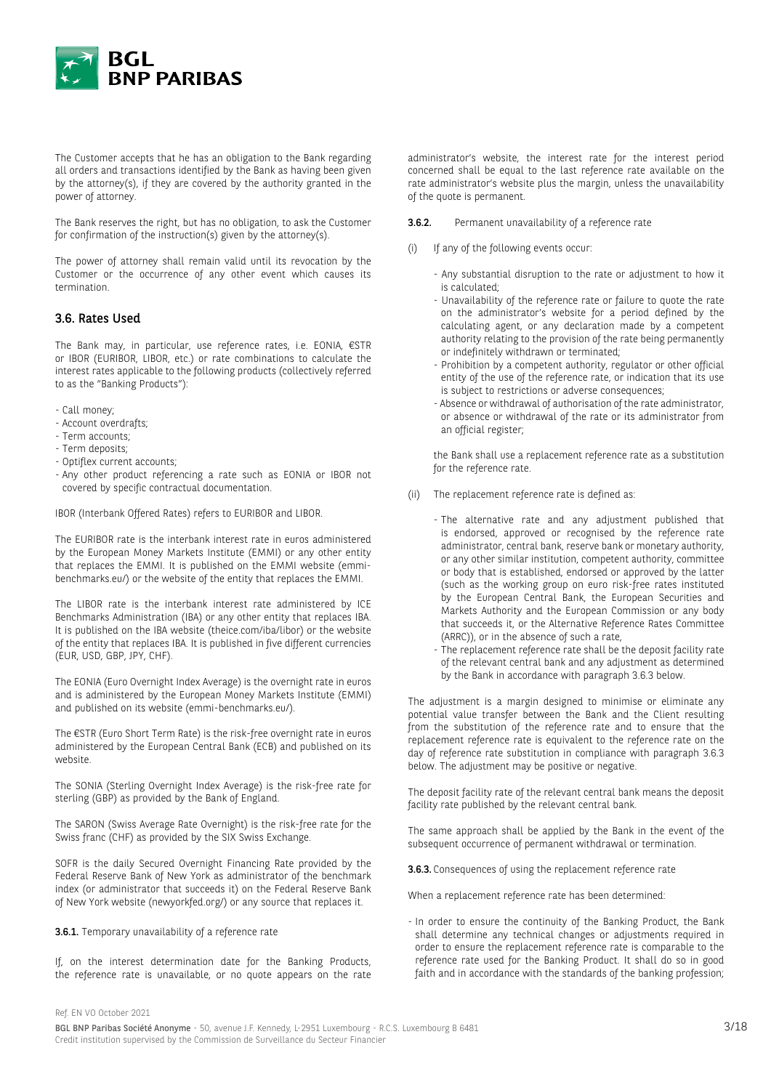

The Customer accepts that he has an obligation to the Bank regarding all orders and transactions identified by the Bank as having been given by the attorney(s), if they are covered by the authority granted in the power of attorney.

The Bank reserves the right, but has no obligation, to ask the Customer for confirmation of the instruction(s) given by the attorney(s).

The power of attorney shall remain valid until its revocation by the Customer or the occurrence of any other event which causes its termination.

### 3.6. Rates Used

The Bank may, in particular, use reference rates, i.e. EONIA, €STR or IBOR (EURIBOR, LIBOR, etc.) or rate combinations to calculate the interest rates applicable to the following products (collectively referred to as the "Banking Products"):

- Call money;
- Account overdrafts;
- Term accounts;
- Term deposits;
- Optiflex current accounts;
- Any other product referencing a rate such as EONIA or IBOR not covered by specific contractual documentation.

IBOR (Interbank Offered Rates) refers to EURIBOR and LIBOR.

The EURIBOR rate is the interbank interest rate in euros administered by the European Money Markets Institute (EMMI) or any other entity that replaces the EMMI. It is published on the EMMI website (emmibenchmarks.eu/) or the website of the entity that replaces the EMMI.

The LIBOR rate is the interbank interest rate administered by ICE Benchmarks Administration (IBA) or any other entity that replaces IBA. It is published on the IBA website (theice.com/iba/libor) or the website of the entity that replaces IBA. It is published in five different currencies (EUR, USD, GBP, JPY, CHF).

The EONIA (Euro Overnight Index Average) is the overnight rate in euros and is administered by the European Money Markets Institute (EMMI) and published on its website (emmi-benchmarks.eu/).

The €STR (Euro Short Term Rate) is the risk-free overnight rate in euros administered by the European Central Bank (ECB) and published on its website.

The SONIA (Sterling Overnight Index Average) is the risk-free rate for sterling (GBP) as provided by the Bank of England.

The SARON (Swiss Average Rate Overnight) is the risk-free rate for the Swiss franc (CHF) as provided by the SIX Swiss Exchange.

SOFR is the daily Secured Overnight Financing Rate provided by the Federal Reserve Bank of New York as administrator of the benchmark index (or administrator that succeeds it) on the Federal Reserve Bank of New York website (newyorkfed.org/) or any source that replaces it.

#### 3.6.1. Temporary unavailability of a reference rate

If, on the interest determination date for the Banking Products, the reference rate is unavailable, or no quote appears on the rate administrator's website, the interest rate for the interest period concerned shall be equal to the last reference rate available on the rate administrator's website plus the margin, unless the unavailability of the quote is permanent.

3.6.2. Permanent unavailability of a reference rate

- (i) If any of the following events occur:
	- Any substantial disruption to the rate or adjustment to how it is calculated;
	- Unavailability of the reference rate or failure to quote the rate on the administrator's website for a period defined by the calculating agent, or any declaration made by a competent authority relating to the provision of the rate being permanently or indefinitely withdrawn or terminated;
	- Prohibition by a competent authority, regulator or other official entity of the use of the reference rate, or indication that its use is subject to restrictions or adverse consequences;
	- Absence or withdrawal of authorisation of the rate administrator, or absence or withdrawal of the rate or its administrator from an official register;

the Bank shall use a replacement reference rate as a substitution for the reference rate.

- (ii) The replacement reference rate is defined as:
	- The alternative rate and any adjustment published that is endorsed, approved or recognised by the reference rate administrator, central bank, reserve bank or monetary authority, or any other similar institution, competent authority, committee or body that is established, endorsed or approved by the latter (such as the working group on euro risk-free rates instituted by the European Central Bank, the European Securities and Markets Authority and the European Commission or any body that succeeds it, or the Alternative Reference Rates Committee (ARRC)), or in the absence of such a rate,
	- The replacement reference rate shall be the deposit facility rate of the relevant central bank and any adjustment as determined by the Bank in accordance with paragraph 3.6.3 below.

The adjustment is a margin designed to minimise or eliminate any potential value transfer between the Bank and the Client resulting from the substitution of the reference rate and to ensure that the replacement reference rate is equivalent to the reference rate on the day of reference rate substitution in compliance with paragraph 3.6.3 below. The adjustment may be positive or negative.

The deposit facility rate of the relevant central bank means the deposit facility rate published by the relevant central bank.

The same approach shall be applied by the Bank in the event of the subsequent occurrence of permanent withdrawal or termination.

3.6.3. Consequences of using the replacement reference rate

When a replacement reference rate has been determined:

- In order to ensure the continuity of the Banking Product, the Bank shall determine any technical changes or adjustments required in order to ensure the replacement reference rate is comparable to the reference rate used for the Banking Product. It shall do so in good faith and in accordance with the standards of the banking profession;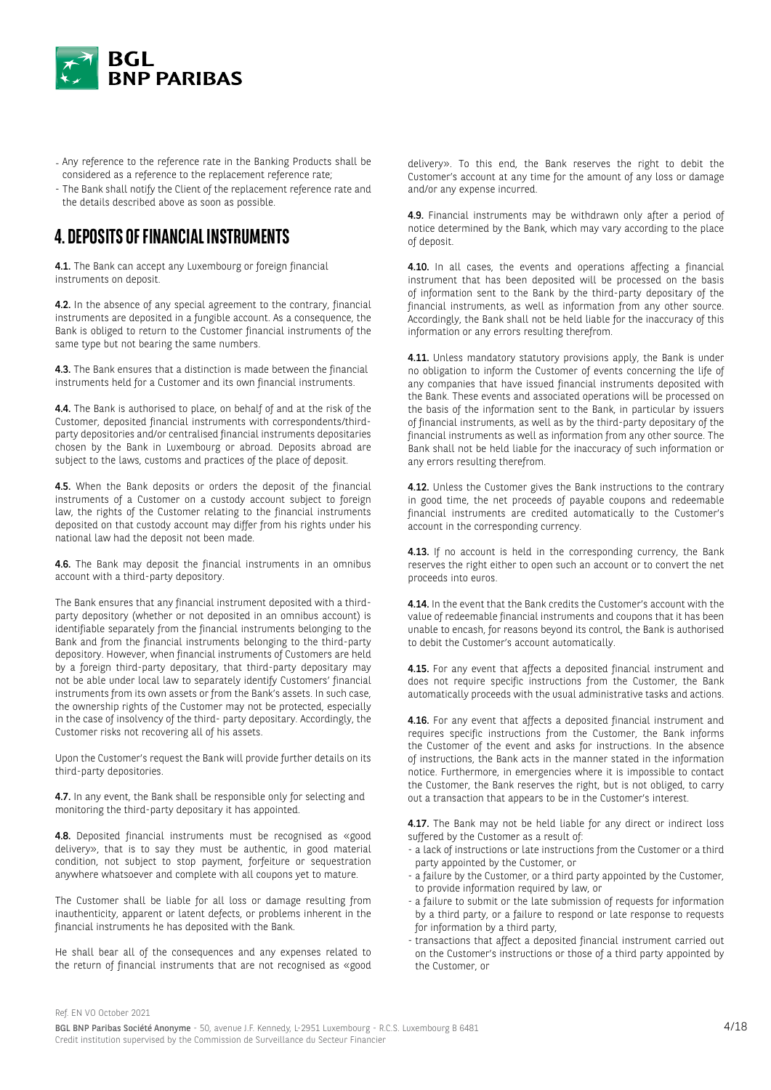

- Any reference to the reference rate in the Banking Products shall be considered as a reference to the replacement reference rate;
- The Bank shall notify the Client of the replacement reference rate and the details described above as soon as possible.

# **4. DEPOSITS OF FINANCIAL INSTRUMENTS**

4.1. The Bank can accept any Luxembourg or foreign financial instruments on deposit.

4.2. In the absence of any special agreement to the contrary, financial instruments are deposited in a fungible account. As a consequence, the Bank is obliged to return to the Customer financial instruments of the same type but not bearing the same numbers.

4.3. The Bank ensures that a distinction is made between the financial instruments held for a Customer and its own financial instruments.

4.4. The Bank is authorised to place, on behalf of and at the risk of the Customer, deposited financial instruments with correspondents/thirdparty depositories and/or centralised financial instruments depositaries chosen by the Bank in Luxembourg or abroad. Deposits abroad are subject to the laws, customs and practices of the place of deposit.

4.5. When the Bank deposits or orders the deposit of the financial instruments of a Customer on a custody account subject to foreign law, the rights of the Customer relating to the financial instruments deposited on that custody account may differ from his rights under his national law had the deposit not been made.

4.6. The Bank may deposit the financial instruments in an omnibus account with a third-party depository.

The Bank ensures that any financial instrument deposited with a thirdparty depository (whether or not deposited in an omnibus account) is identifiable separately from the financial instruments belonging to the Bank and from the financial instruments belonging to the third-party depository. However, when financial instruments of Customers are held by a foreign third-party depositary, that third-party depositary may not be able under local law to separately identify Customers' financial instruments from its own assets or from the Bank's assets. In such case, the ownership rights of the Customer may not be protected, especially in the case of insolvency of the third- party depositary. Accordingly, the Customer risks not recovering all of his assets.

Upon the Customer's request the Bank will provide further details on its third-party depositories.

4.7. In any event, the Bank shall be responsible only for selecting and monitoring the third-party depositary it has appointed.

4.8. Deposited financial instruments must be recognised as «good delivery», that is to say they must be authentic, in good material condition, not subject to stop payment, forfeiture or sequestration anywhere whatsoever and complete with all coupons yet to mature.

The Customer shall be liable for all loss or damage resulting from inauthenticity, apparent or latent defects, or problems inherent in the financial instruments he has deposited with the Bank.

He shall bear all of the consequences and any expenses related to the return of financial instruments that are not recognised as «good delivery». To this end, the Bank reserves the right to debit the Customer's account at any time for the amount of any loss or damage and/or any expense incurred.

4.9. Financial instruments may be withdrawn only after a period of notice determined by the Bank, which may vary according to the place of deposit.

4.10. In all cases, the events and operations affecting a financial instrument that has been deposited will be processed on the basis of information sent to the Bank by the third-party depositary of the financial instruments, as well as information from any other source. Accordingly, the Bank shall not be held liable for the inaccuracy of this information or any errors resulting therefrom.

4.11. Unless mandatory statutory provisions apply, the Bank is under no obligation to inform the Customer of events concerning the life of any companies that have issued financial instruments deposited with the Bank. These events and associated operations will be processed on the basis of the information sent to the Bank, in particular by issuers of financial instruments, as well as by the third-party depositary of the financial instruments as well as information from any other source. The Bank shall not be held liable for the inaccuracy of such information or any errors resulting therefrom.

4.12. Unless the Customer gives the Bank instructions to the contrary in good time, the net proceeds of payable coupons and redeemable financial instruments are credited automatically to the Customer's account in the corresponding currency.

4.13. If no account is held in the corresponding currency, the Bank reserves the right either to open such an account or to convert the net proceeds into euros.

4.14. In the event that the Bank credits the Customer's account with the value of redeemable financial instruments and coupons that it has been unable to encash, for reasons beyond its control, the Bank is authorised to debit the Customer's account automatically.

4.15. For any event that affects a deposited financial instrument and does not require specific instructions from the Customer, the Bank automatically proceeds with the usual administrative tasks and actions.

4.16. For any event that affects a deposited financial instrument and requires specific instructions from the Customer, the Bank informs the Customer of the event and asks for instructions. In the absence of instructions, the Bank acts in the manner stated in the information notice. Furthermore, in emergencies where it is impossible to contact the Customer, the Bank reserves the right, but is not obliged, to carry out a transaction that appears to be in the Customer's interest.

4.17. The Bank may not be held liable for any direct or indirect loss suffered by the Customer as a result of:

- a lack of instructions or late instructions from the Customer or a third party appointed by the Customer, or
- a failure by the Customer, or a third party appointed by the Customer, to provide information required by law, or
- a failure to submit or the late submission of requests for information by a third party, or a failure to respond or late response to requests for information by a third party,
- transactions that affect a deposited financial instrument carried out on the Customer's instructions or those of a third party appointed by the Customer, or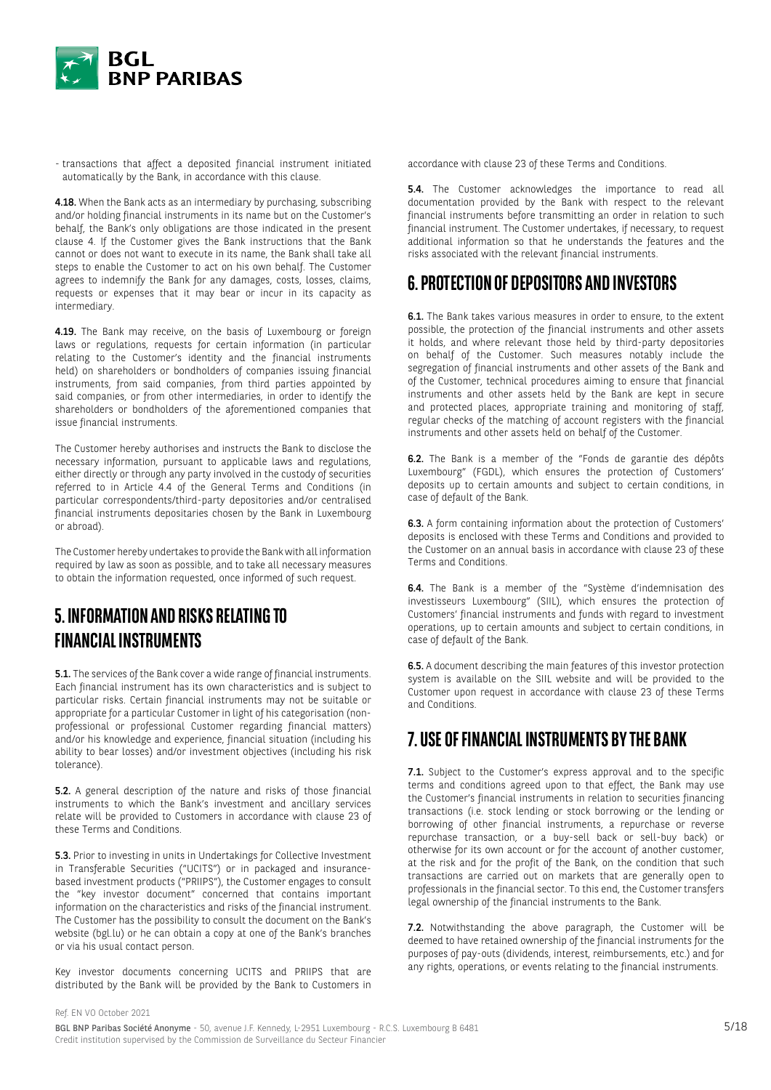

- transactions that affect a deposited financial instrument initiated automatically by the Bank, in accordance with this clause.

4.18. When the Bank acts as an intermediary by purchasing, subscribing and/or holding financial instruments in its name but on the Customer's behalf, the Bank's only obligations are those indicated in the present clause 4. If the Customer gives the Bank instructions that the Bank cannot or does not want to execute in its name, the Bank shall take all steps to enable the Customer to act on his own behalf. The Customer agrees to indemnify the Bank for any damages, costs, losses, claims, requests or expenses that it may bear or incur in its capacity as intermediary.

4.19. The Bank may receive, on the basis of Luxembourg or foreign laws or regulations, requests for certain information (in particular relating to the Customer's identity and the financial instruments held) on shareholders or bondholders of companies issuing financial instruments, from said companies, from third parties appointed by said companies, or from other intermediaries, in order to identify the shareholders or bondholders of the aforementioned companies that issue financial instruments.

The Customer hereby authorises and instructs the Bank to disclose the necessary information, pursuant to applicable laws and regulations, either directly or through any party involved in the custody of securities referred to in Article 4.4 of the General Terms and Conditions (in particular correspondents/third-party depositories and/or centralised financial instruments depositaries chosen by the Bank in Luxembourg or abroad).

The Customer hereby undertakes to provide the Bank with all information required by law as soon as possible, and to take all necessary measures to obtain the information requested, once informed of such request.

# **5. INFORMATION AND RISKS RELATING TO FINANCIAL INSTRUMENTS**

**5.1.** The services of the Bank cover a wide range of financial instruments. Each financial instrument has its own characteristics and is subject to particular risks. Certain financial instruments may not be suitable or appropriate for a particular Customer in light of his categorisation (nonprofessional or professional Customer regarding financial matters) and/or his knowledge and experience, financial situation (including his ability to bear losses) and/or investment objectives (including his risk tolerance).

5.2. A general description of the nature and risks of those financial instruments to which the Bank's investment and ancillary services relate will be provided to Customers in accordance with clause 23 of these Terms and Conditions.

5.3. Prior to investing in units in Undertakings for Collective Investment in Transferable Securities ("UCITS") or in packaged and insurancebased investment products ("PRIIPS"), the Customer engages to consult the "key investor document" concerned that contains important information on the characteristics and risks of the financial instrument. The Customer has the possibility to consult the document on the Bank's website (bgl.lu) or he can obtain a copy at one of the Bank's branches or via his usual contact person.

Key investor documents concerning UCITS and PRIIPS that are distributed by the Bank will be provided by the Bank to Customers in accordance with clause 23 of these Terms and Conditions.

5.4. The Customer acknowledges the importance to read all documentation provided by the Bank with respect to the relevant financial instruments before transmitting an order in relation to such financial instrument. The Customer undertakes, if necessary, to request additional information so that he understands the features and the risks associated with the relevant financial instruments.

# **6. PROTECTION OF DEPOSITORS AND INVESTORS**

6.1. The Bank takes various measures in order to ensure, to the extent possible, the protection of the financial instruments and other assets it holds, and where relevant those held by third-party depositories on behalf of the Customer. Such measures notably include the segregation of financial instruments and other assets of the Bank and of the Customer, technical procedures aiming to ensure that financial instruments and other assets held by the Bank are kept in secure and protected places, appropriate training and monitoring of staff, regular checks of the matching of account registers with the financial instruments and other assets held on behalf of the Customer.

6.2. The Bank is a member of the "Fonds de garantie des dépôts Luxembourg" (FGDL), which ensures the protection of Customers' deposits up to certain amounts and subject to certain conditions, in case of default of the Bank.

6.3. A form containing information about the protection of Customers' deposits is enclosed with these Terms and Conditions and provided to the Customer on an annual basis in accordance with clause 23 of these Terms and Conditions.

6.4. The Bank is a member of the "Système d'indemnisation des investisseurs Luxembourg" (SIIL), which ensures the protection of Customers' financial instruments and funds with regard to investment operations, up to certain amounts and subject to certain conditions, in case of default of the Bank.

6.5. A document describing the main features of this investor protection system is available on the SIIL website and will be provided to the Customer upon request in accordance with clause 23 of these Terms and Conditions.

# **7. USE OF FINANCIAL INSTRUMENTS BY THE BANK**

7.1. Subject to the Customer's express approval and to the specific terms and conditions agreed upon to that effect, the Bank may use the Customer's financial instruments in relation to securities financing transactions (i.e. stock lending or stock borrowing or the lending or borrowing of other financial instruments, a repurchase or reverse repurchase transaction, or a buy-sell back or sell-buy back) or otherwise for its own account or for the account of another customer, at the risk and for the profit of the Bank, on the condition that such transactions are carried out on markets that are generally open to professionals in the financial sector. To this end, the Customer transfers legal ownership of the financial instruments to the Bank.

7.2. Notwithstanding the above paragraph, the Customer will be deemed to have retained ownership of the financial instruments for the purposes of pay-outs (dividends, interest, reimbursements, etc.) and for any rights, operations, or events relating to the financial instruments.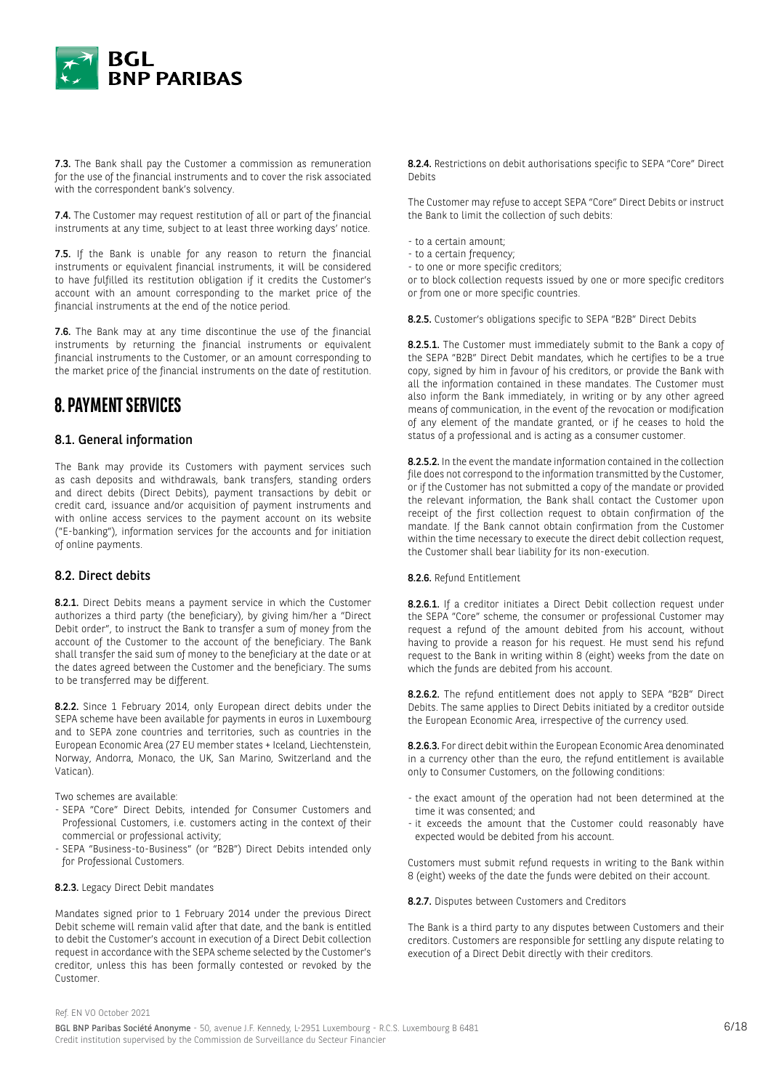

7.3. The Bank shall pay the Customer a commission as remuneration for the use of the financial instruments and to cover the risk associated with the correspondent bank's solvency.

7.4. The Customer may request restitution of all or part of the financial instruments at any time, subject to at least three working days' notice.

7.5. If the Bank is unable for any reason to return the financial instruments or equivalent financial instruments, it will be considered to have fulfilled its restitution obligation if it credits the Customer's account with an amount corresponding to the market price of the financial instruments at the end of the notice period.

7.6. The Bank may at any time discontinue the use of the financial instruments by returning the financial instruments or equivalent financial instruments to the Customer, or an amount corresponding to the market price of the financial instruments on the date of restitution.

# **8. PAYMENT SERVICES**

### 8.1. General information

The Bank may provide its Customers with payment services such as cash deposits and withdrawals, bank transfers, standing orders and direct debits (Direct Debits), payment transactions by debit or credit card, issuance and/or acquisition of payment instruments and with online access services to the payment account on its website ("E-banking"), information services for the accounts and for initiation of online payments.

### 8.2. Direct debits

8.2.1. Direct Debits means a payment service in which the Customer authorizes a third party (the beneficiary), by giving him/her a "Direct Debit order", to instruct the Bank to transfer a sum of money from the account of the Customer to the account of the beneficiary. The Bank shall transfer the said sum of money to the beneficiary at the date or at the dates agreed between the Customer and the beneficiary. The sums to be transferred may be different.

8.2.2. Since 1 February 2014, only European direct debits under the SEPA scheme have been available for payments in euros in Luxembourg and to SEPA zone countries and territories, such as countries in the European Economic Area (27 EU member states + Iceland, Liechtenstein, Norway, Andorra, Monaco, the UK, San Marino, Switzerland and the Vatican).

Two schemes are available:

- SEPA "Core" Direct Debits, intended for Consumer Customers and Professional Customers, i.e. customers acting in the context of their commercial or professional activity;
- SEPA "Business-to-Business" (or "B2B") Direct Debits intended only for Professional Customers.

#### 8.2.3. Legacy Direct Debit mandates

Mandates signed prior to 1 February 2014 under the previous Direct Debit scheme will remain valid after that date, and the bank is entitled to debit the Customer's account in execution of a Direct Debit collection request in accordance with the SEPA scheme selected by the Customer's creditor, unless this has been formally contested or revoked by the Customer.

8.2.4. Restrictions on debit authorisations specific to SEPA "Core" Direct Debits

The Customer may refuse to accept SEPA "Core" Direct Debits or instruct the Bank to limit the collection of such debits:

- to a certain amount;
- to a certain frequency;
- to one or more specific creditors;

or to block collection requests issued by one or more specific creditors or from one or more specific countries.

8.2.5. Customer's obligations specific to SEPA "B2B" Direct Debits

8.2.5.1. The Customer must immediately submit to the Bank a copy of the SEPA "B2B" Direct Debit mandates, which he certifies to be a true copy, signed by him in favour of his creditors, or provide the Bank with all the information contained in these mandates. The Customer must also inform the Bank immediately, in writing or by any other agreed means of communication, in the event of the revocation or modification of any element of the mandate granted, or if he ceases to hold the status of a professional and is acting as a consumer customer.

8.2.5.2. In the event the mandate information contained in the collection file does not correspond to the information transmitted by the Customer, or if the Customer has not submitted a copy of the mandate or provided the relevant information, the Bank shall contact the Customer upon receipt of the first collection request to obtain confirmation of the mandate. If the Bank cannot obtain confirmation from the Customer within the time necessary to execute the direct debit collection request, the Customer shall bear liability for its non-execution.

8.2.6. Refund Entitlement

8.2.6.1. If a creditor initiates a Direct Debit collection request under the SEPA "Core" scheme, the consumer or professional Customer may request a refund of the amount debited from his account, without having to provide a reason for his request. He must send his refund request to the Bank in writing within 8 (eight) weeks from the date on which the funds are debited from his account.

8.2.6.2. The refund entitlement does not apply to SEPA "B2B" Direct Debits. The same applies to Direct Debits initiated by a creditor outside the European Economic Area, irrespective of the currency used.

8.2.6.3. For direct debit within the European Economic Area denominated in a currency other than the euro, the refund entitlement is available only to Consumer Customers, on the following conditions:

- the exact amount of the operation had not been determined at the time it was consented; and
- it exceeds the amount that the Customer could reasonably have expected would be debited from his account.

Customers must submit refund requests in writing to the Bank within 8 (eight) weeks of the date the funds were debited on their account.

#### 8.2.7. Disputes between Customers and Creditors

The Bank is a third party to any disputes between Customers and their creditors. Customers are responsible for settling any dispute relating to execution of a Direct Debit directly with their creditors.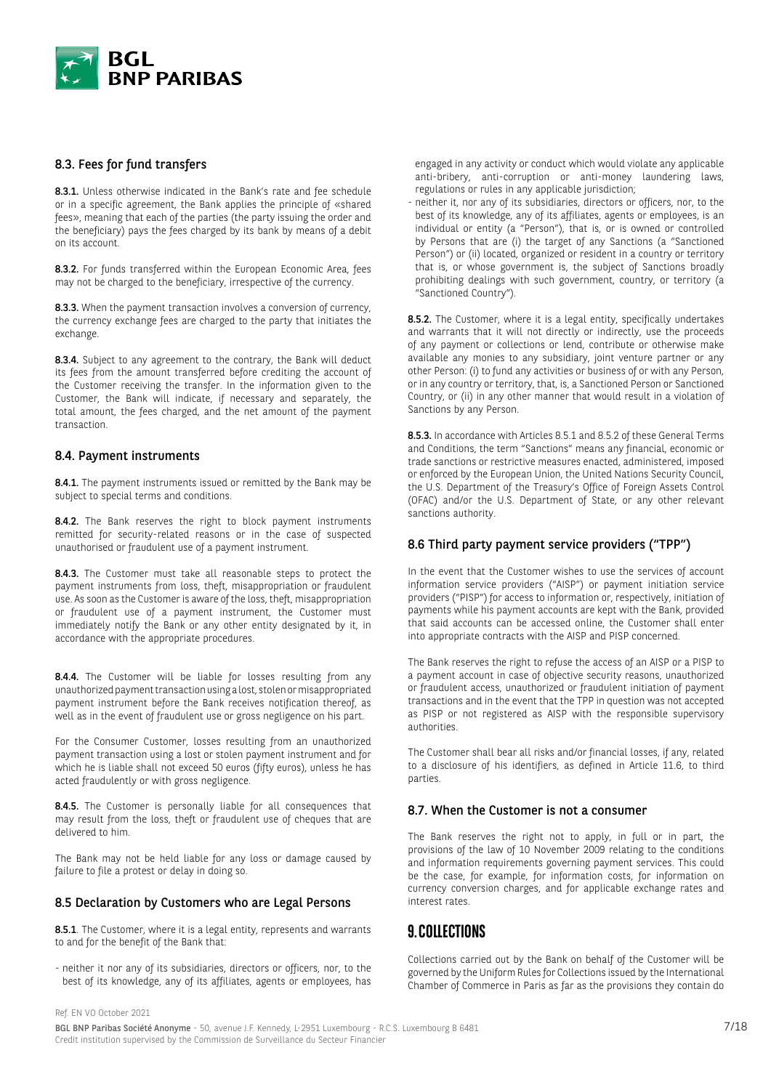

# 8.3. Fees for fund transfers

8.3.1. Unless otherwise indicated in the Bank's rate and fee schedule or in a specific agreement, the Bank applies the principle of «shared fees», meaning that each of the parties (the party issuing the order and the beneficiary) pays the fees charged by its bank by means of a debit on its account.

8.3.2. For funds transferred within the European Economic Area, fees may not be charged to the beneficiary, irrespective of the currency.

8.3.3. When the payment transaction involves a conversion of currency, the currency exchange fees are charged to the party that initiates the exchange.

8.3.4. Subject to any agreement to the contrary, the Bank will deduct its fees from the amount transferred before crediting the account of the Customer receiving the transfer. In the information given to the Customer, the Bank will indicate, if necessary and separately, the total amount, the fees charged, and the net amount of the payment transaction.

#### 8.4. Payment instruments

8.4.1. The payment instruments issued or remitted by the Bank may be subject to special terms and conditions.

8.4.2. The Bank reserves the right to block payment instruments remitted for security-related reasons or in the case of suspected unauthorised or fraudulent use of a payment instrument.

8.4.3. The Customer must take all reasonable steps to protect the payment instruments from loss, theft, misappropriation or fraudulent use. As soon as the Customer is aware of the loss, theft, misappropriation or fraudulent use of a payment instrument, the Customer must immediately notify the Bank or any other entity designated by it, in accordance with the appropriate procedures.

8.4.4. The Customer will be liable for losses resulting from any unauthorized payment transaction using a lost, stolen or misappropriated payment instrument before the Bank receives notification thereof, as well as in the event of fraudulent use or gross negligence on his part.

For the Consumer Customer, losses resulting from an unauthorized payment transaction using a lost or stolen payment instrument and for which he is liable shall not exceed 50 euros (fifty euros), unless he has acted fraudulently or with gross negligence.

8.4.5. The Customer is personally liable for all consequences that may result from the loss, theft or fraudulent use of cheques that are delivered to him.

The Bank may not be held liable for any loss or damage caused by failure to file a protest or delay in doing so.

### 8.5 Declaration by Customers who are Legal Persons

8.5.1. The Customer, where it is a legal entity, represents and warrants to and for the benefit of the Bank that:

- neither it nor any of its subsidiaries, directors or officers, nor, to the best of its knowledge, any of its affiliates, agents or employees, has engaged in any activity or conduct which would violate any applicable anti-bribery, anti-corruption or anti-money laundering laws, regulations or rules in any applicable jurisdiction;

- neither it, nor any of its subsidiaries, directors or officers, nor, to the best of its knowledge, any of its affiliates, agents or employees, is an individual or entity (a "Person"), that is, or is owned or controlled by Persons that are (i) the target of any Sanctions (a "Sanctioned Person") or (ii) located, organized or resident in a country or territory that is, or whose government is, the subject of Sanctions broadly prohibiting dealings with such government, country, or territory (a "Sanctioned Country").

8.5.2. The Customer, where it is a legal entity, specifically undertakes and warrants that it will not directly or indirectly, use the proceeds of any payment or collections or lend, contribute or otherwise make available any monies to any subsidiary, joint venture partner or any other Person: (i) to fund any activities or business of or with any Person, or in any country or territory, that, is, a Sanctioned Person or Sanctioned Country, or (ii) in any other manner that would result in a violation of Sanctions by any Person.

8.5.3. In accordance with Articles 8.5.1 and 8.5.2 of these General Terms and Conditions, the term "Sanctions" means any financial, economic or trade sanctions or restrictive measures enacted, administered, imposed or enforced by the European Union, the United Nations Security Council, the U.S. Department of the Treasury's Office of Foreign Assets Control (OFAC) and/or the U.S. Department of State, or any other relevant sanctions authority.

#### 8.6 Third party payment service providers ("TPP")

In the event that the Customer wishes to use the services of account information service providers ("AISP") or payment initiation service providers ("PISP") for access to information or, respectively, initiation of payments while his payment accounts are kept with the Bank, provided that said accounts can be accessed online, the Customer shall enter into appropriate contracts with the AISP and PISP concerned.

The Bank reserves the right to refuse the access of an AISP or a PISP to a payment account in case of objective security reasons, unauthorized or fraudulent access, unauthorized or fraudulent initiation of payment transactions and in the event that the TPP in question was not accepted as PISP or not registered as AISP with the responsible supervisory authorities.

The Customer shall bear all risks and/or financial losses, if any, related to a disclosure of his identifiers, as defined in Article 11.6, to third parties.

### 8.7. When the Customer is not a consumer

The Bank reserves the right not to apply, in full or in part, the provisions of the law of 10 November 2009 relating to the conditions and information requirements governing payment services. This could be the case, for example, for information costs, for information on currency conversion charges, and for applicable exchange rates and interest rates.

# **9. COLLECTIONS**

Collections carried out by the Bank on behalf of the Customer will be governed by the Uniform Rules for Collections issued by the International Chamber of Commerce in Paris as far as the provisions they contain do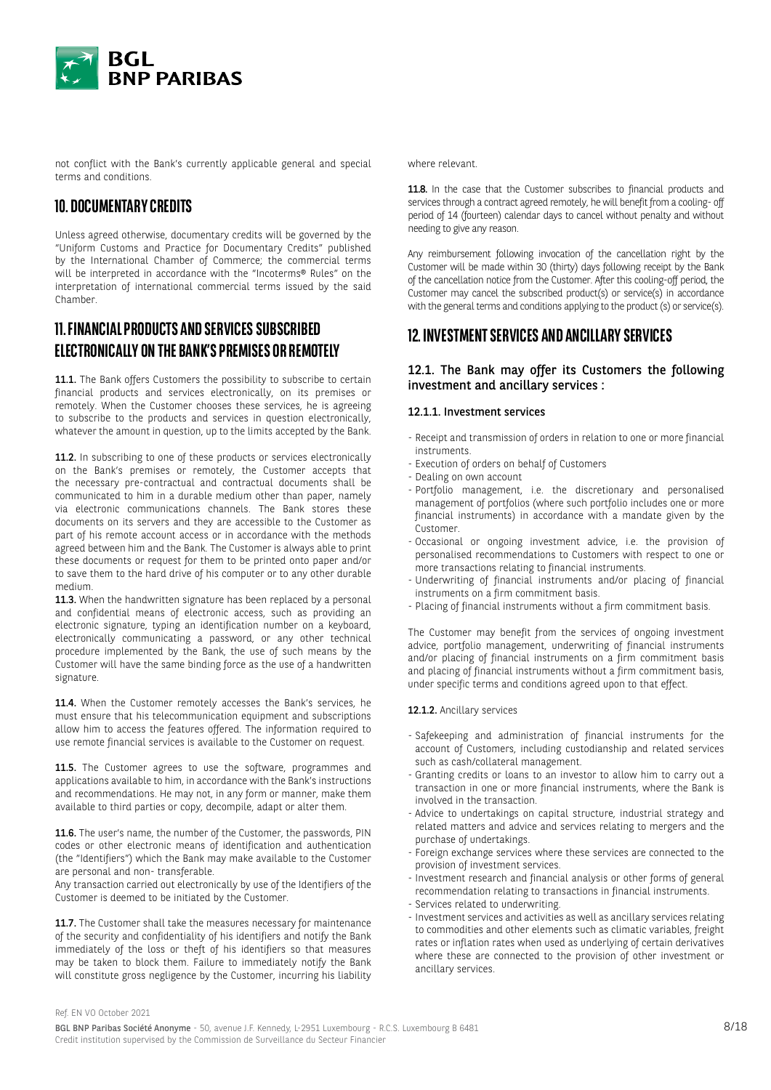

not conflict with the Bank's currently applicable general and special terms and conditions.

# **10. DOCUMENTARY CREDITS**

Unless agreed otherwise, documentary credits will be governed by the "Uniform Customs and Practice for Documentary Credits" published by the International Chamber of Commerce; the commercial terms will be interpreted in accordance with the "Incoterms® Rules" on the interpretation of international commercial terms issued by the said Chamber.

# **11. FINANCIAL PRODUCTS AND SERVICES SUBSCRIBED ELECTRONICALLY ON THE BANK'S PREMISES OR REMOTELY**

11.1. The Bank offers Customers the possibility to subscribe to certain financial products and services electronically, on its premises or remotely. When the Customer chooses these services, he is agreeing to subscribe to the products and services in question electronically, whatever the amount in question, up to the limits accepted by the Bank.

11.2. In subscribing to one of these products or services electronically on the Bank's premises or remotely, the Customer accepts that the necessary pre-contractual and contractual documents shall be communicated to him in a durable medium other than paper, namely via electronic communications channels. The Bank stores these documents on its servers and they are accessible to the Customer as part of his remote account access or in accordance with the methods agreed between him and the Bank. The Customer is always able to print these documents or request for them to be printed onto paper and/or to save them to the hard drive of his computer or to any other durable medium.

11.3. When the handwritten signature has been replaced by a personal and confidential means of electronic access, such as providing an electronic signature, typing an identification number on a keyboard, electronically communicating a password, or any other technical procedure implemented by the Bank, the use of such means by the Customer will have the same binding force as the use of a handwritten signature.

11.4. When the Customer remotely accesses the Bank's services, he must ensure that his telecommunication equipment and subscriptions allow him to access the features offered. The information required to use remote financial services is available to the Customer on request.

11.5. The Customer agrees to use the software, programmes and applications available to him, in accordance with the Bank's instructions and recommendations. He may not, in any form or manner, make them available to third parties or copy, decompile, adapt or alter them.

11.6. The user's name, the number of the Customer, the passwords, PIN codes or other electronic means of identification and authentication (the "Identifiers") which the Bank may make available to the Customer are personal and non- transferable.

Any transaction carried out electronically by use of the Identifiers of the Customer is deemed to be initiated by the Customer.

11.7. The Customer shall take the measures necessary for maintenance of the security and confidentiality of his identifiers and notify the Bank immediately of the loss or theft of his identifiers so that measures may be taken to block them. Failure to immediately notify the Bank will constitute gross negligence by the Customer, incurring his liability where relevant.

11.8. In the case that the Customer subscribes to financial products and services through a contract agreed remotely, he will benefit from a cooling- off period of 14 (fourteen) calendar days to cancel without penalty and without needing to give any reason.

Any reimbursement following invocation of the cancellation right by the Customer will be made within 30 (thirty) days following receipt by the Bank of the cancellation notice from the Customer. After this cooling-off period, the Customer may cancel the subscribed product(s) or service(s) in accordance with the general terms and conditions applying to the product (s) or service(s).

# **12. INVESTMENT SERVICES AND ANCILLARY SERVICES**

# 12.1. The Bank may offer its Customers the following investment and ancillary services :

### 12.1.1. Investment services

- Receipt and transmission of orders in relation to one or more financial instruments.
- Execution of orders on behalf of Customers
- Dealing on own account
- Portfolio management, i.e. the discretionary and personalised management of portfolios (where such portfolio includes one or more financial instruments) in accordance with a mandate given by the Customer.
- Occasional or ongoing investment advice, i.e. the provision of personalised recommendations to Customers with respect to one or more transactions relating to financial instruments.
- Underwriting of financial instruments and/or placing of financial instruments on a firm commitment basis.
- Placing of financial instruments without a firm commitment basis.

The Customer may benefit from the services of ongoing investment advice, portfolio management, underwriting of financial instruments and/or placing of financial instruments on a firm commitment basis and placing of financial instruments without a firm commitment basis, under specific terms and conditions agreed upon to that effect.

#### 12.1.2. Ancillary services

- Safekeeping and administration of financial instruments for the account of Customers, including custodianship and related services such as cash/collateral management.
- Granting credits or loans to an investor to allow him to carry out a transaction in one or more financial instruments, where the Bank is involved in the transaction.
- Advice to undertakings on capital structure, industrial strategy and related matters and advice and services relating to mergers and the purchase of undertakings.
- Foreign exchange services where these services are connected to the provision of investment services.
- Investment research and financial analysis or other forms of general recommendation relating to transactions in financial instruments.
- Services related to underwriting.
- Investment services and activities as well as ancillary services relating to commodities and other elements such as climatic variables, freight rates or inflation rates when used as underlying of certain derivatives where these are connected to the provision of other investment or ancillary services.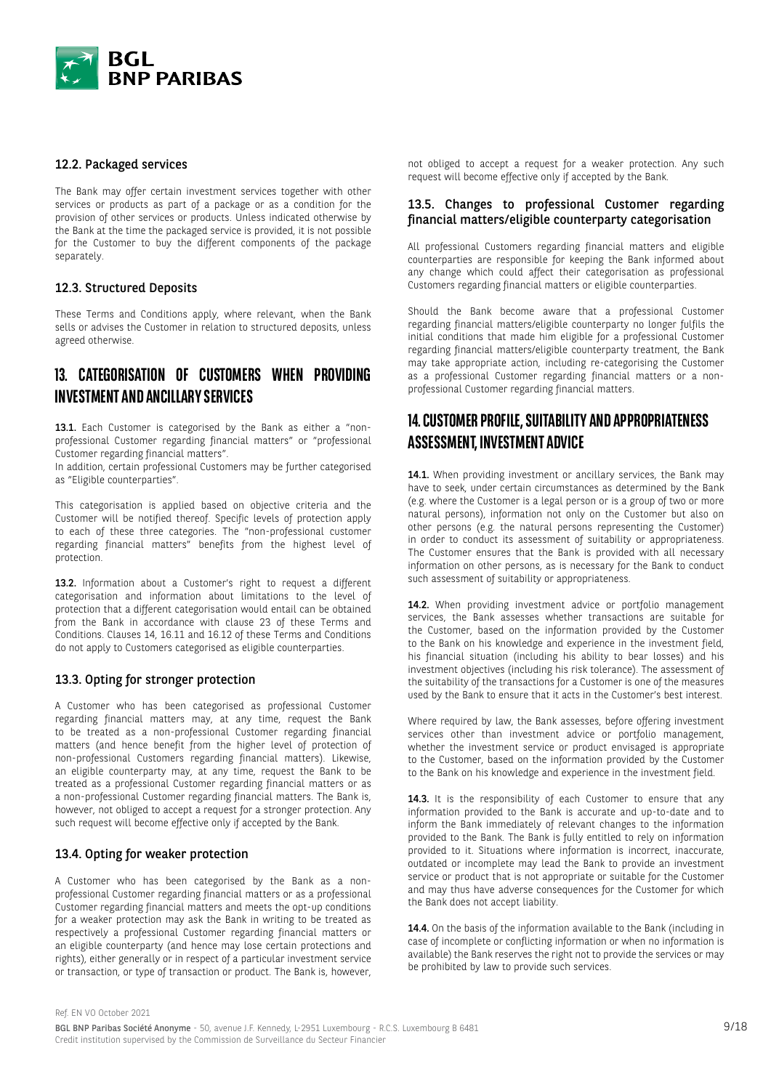

#### 12.2. Packaged services

The Bank may offer certain investment services together with other services or products as part of a package or as a condition for the provision of other services or products. Unless indicated otherwise by the Bank at the time the packaged service is provided, it is not possible for the Customer to buy the different components of the package separately.

### 12.3. Structured Deposits

These Terms and Conditions apply, where relevant, when the Bank sells or advises the Customer in relation to structured deposits, unless agreed otherwise.

# **13. CATEGORISATION OF CUSTOMERS WHEN PROVIDING INVESTMENT AND ANCILLARY SERVICES**

13.1. Each Customer is categorised by the Bank as either a "nonprofessional Customer regarding financial matters" or "professional Customer regarding financial matters".

In addition, certain professional Customers may be further categorised as "Eligible counterparties".

This categorisation is applied based on objective criteria and the Customer will be notified thereof. Specific levels of protection apply to each of these three categories. The "non-professional customer regarding financial matters" benefits from the highest level of protection.

13.2. Information about a Customer's right to request a different categorisation and information about limitations to the level of protection that a different categorisation would entail can be obtained from the Bank in accordance with clause 23 of these Terms and Conditions. Clauses 14, 16.11 and 16.12 of these Terms and Conditions do not apply to Customers categorised as eligible counterparties.

#### 13.3. Opting for stronger protection

A Customer who has been categorised as professional Customer regarding financial matters may, at any time, request the Bank to be treated as a non-professional Customer regarding financial matters (and hence benefit from the higher level of protection of non-professional Customers regarding financial matters). Likewise, an eligible counterparty may, at any time, request the Bank to be treated as a professional Customer regarding financial matters or as a non-professional Customer regarding financial matters. The Bank is, however, not obliged to accept a request for a stronger protection. Any such request will become effective only if accepted by the Bank.

### 13.4. Opting for weaker protection

A Customer who has been categorised by the Bank as a nonprofessional Customer regarding financial matters or as a professional Customer regarding financial matters and meets the opt-up conditions for a weaker protection may ask the Bank in writing to be treated as respectively a professional Customer regarding financial matters or an eligible counterparty (and hence may lose certain protections and rights), either generally or in respect of a particular investment service or transaction, or type of transaction or product. The Bank is, however, not obliged to accept a request for a weaker protection. Any such request will become effective only if accepted by the Bank.

#### 13.5. Changes to professional Customer regarding financial matters/eligible counterparty categorisation

All professional Customers regarding financial matters and eligible counterparties are responsible for keeping the Bank informed about any change which could affect their categorisation as professional Customers regarding financial matters or eligible counterparties.

Should the Bank become aware that a professional Customer regarding financial matters/eligible counterparty no longer fulfils the initial conditions that made him eligible for a professional Customer regarding financial matters/eligible counterparty treatment, the Bank may take appropriate action, including re-categorising the Customer as a professional Customer regarding financial matters or a nonprofessional Customer regarding financial matters.

# **14. CUSTOMER PROFILE, SUITABILITY AND APPROPRIATENESS ASSESSMENT, INVESTMENT ADVICE**

14.1. When providing investment or ancillary services, the Bank may have to seek, under certain circumstances as determined by the Bank (e.g. where the Customer is a legal person or is a group of two or more natural persons), information not only on the Customer but also on other persons (e.g. the natural persons representing the Customer) in order to conduct its assessment of suitability or appropriateness. The Customer ensures that the Bank is provided with all necessary information on other persons, as is necessary for the Bank to conduct such assessment of suitability or appropriateness.

14.2. When providing investment advice or portfolio management services, the Bank assesses whether transactions are suitable for the Customer, based on the information provided by the Customer to the Bank on his knowledge and experience in the investment field, his financial situation (including his ability to bear losses) and his investment objectives (including his risk tolerance). The assessment of the suitability of the transactions for a Customer is one of the measures used by the Bank to ensure that it acts in the Customer's best interest.

Where required by law, the Bank assesses, before offering investment services other than investment advice or portfolio management, whether the investment service or product envisaged is appropriate to the Customer, based on the information provided by the Customer to the Bank on his knowledge and experience in the investment field.

14.3. It is the responsibility of each Customer to ensure that any information provided to the Bank is accurate and up-to-date and to inform the Bank immediately of relevant changes to the information provided to the Bank. The Bank is fully entitled to rely on information provided to it. Situations where information is incorrect, inaccurate, outdated or incomplete may lead the Bank to provide an investment service or product that is not appropriate or suitable for the Customer and may thus have adverse consequences for the Customer for which the Bank does not accept liability.

14.4. On the basis of the information available to the Bank (including in case of incomplete or conflicting information or when no information is available) the Bank reserves the right not to provide the services or may be prohibited by law to provide such services.

BGL BNP Paribas Société Anonyme - 50, avenue J.F. Kennedy, L-2951 Luxembourg - R.C.S. Luxembourg B 6481 Credit institution supervised by the Commission de Surveillance du Secteur Financier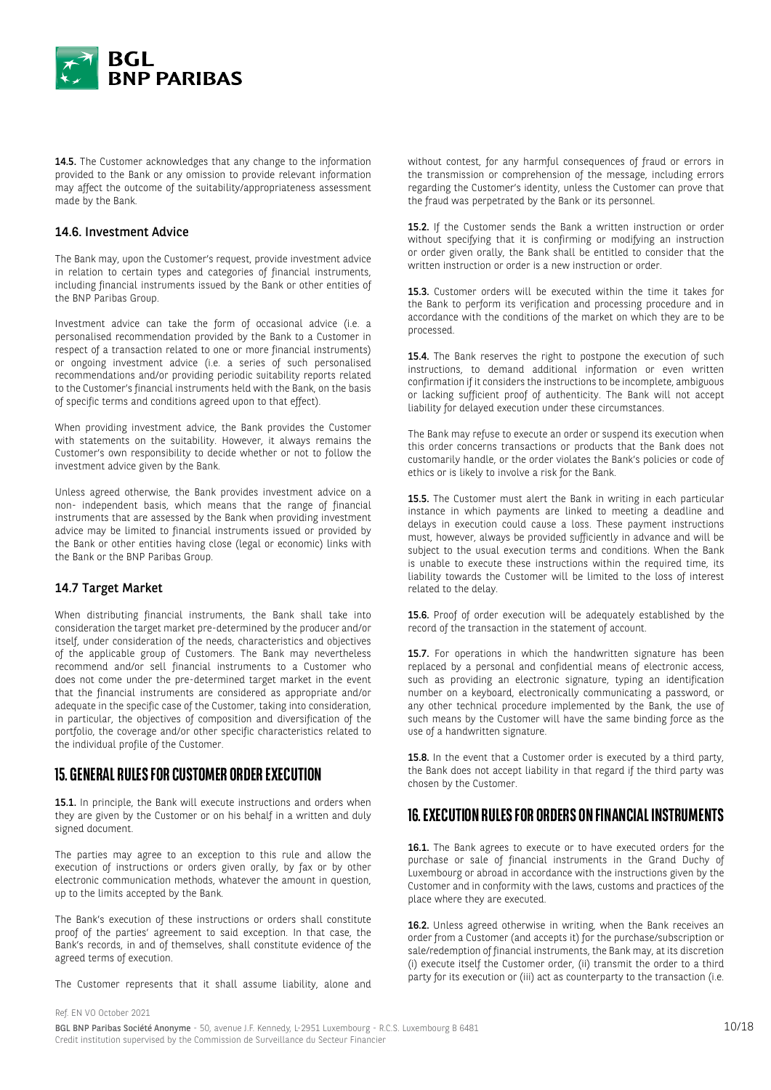

14.5. The Customer acknowledges that any change to the information provided to the Bank or any omission to provide relevant information may affect the outcome of the suitability/appropriateness assessment made by the Bank.

#### 14.6. Investment Advice

The Bank may, upon the Customer's request, provide investment advice in relation to certain types and categories of financial instruments, including financial instruments issued by the Bank or other entities of the BNP Paribas Group.

Investment advice can take the form of occasional advice (i.e. a personalised recommendation provided by the Bank to a Customer in respect of a transaction related to one or more financial instruments) or ongoing investment advice (i.e. a series of such personalised recommendations and/or providing periodic suitability reports related to the Customer's financial instruments held with the Bank, on the basis of specific terms and conditions agreed upon to that effect).

When providing investment advice, the Bank provides the Customer with statements on the suitability. However, it always remains the Customer's own responsibility to decide whether or not to follow the investment advice given by the Bank.

Unless agreed otherwise, the Bank provides investment advice on a non- independent basis, which means that the range of financial instruments that are assessed by the Bank when providing investment advice may be limited to financial instruments issued or provided by the Bank or other entities having close (legal or economic) links with the Bank or the BNP Paribas Group.

# 14.7 Target Market

When distributing financial instruments, the Bank shall take into consideration the target market pre-determined by the producer and/or itself, under consideration of the needs, characteristics and objectives of the applicable group of Customers. The Bank may nevertheless recommend and/or sell financial instruments to a Customer who does not come under the pre-determined target market in the event that the financial instruments are considered as appropriate and/or adequate in the specific case of the Customer, taking into consideration, in particular, the objectives of composition and diversification of the portfolio, the coverage and/or other specific characteristics related to the individual profile of the Customer.

# **15. GENERAL RULES FOR CUSTOMER ORDER EXECUTION**

15.1. In principle, the Bank will execute instructions and orders when they are given by the Customer or on his behalf in a written and duly signed document.

The parties may agree to an exception to this rule and allow the execution of instructions or orders given orally, by fax or by other electronic communication methods, whatever the amount in question, up to the limits accepted by the Bank.

The Bank's execution of these instructions or orders shall constitute proof of the parties' agreement to said exception. In that case, the Bank's records, in and of themselves, shall constitute evidence of the agreed terms of execution.

The Customer represents that it shall assume liability, alone and

without contest, for any harmful consequences of fraud or errors in the transmission or comprehension of the message, including errors regarding the Customer's identity, unless the Customer can prove that the fraud was perpetrated by the Bank or its personnel.

15.2. If the Customer sends the Bank a written instruction or order without specifying that it is confirming or modifying an instruction or order given orally, the Bank shall be entitled to consider that the written instruction or order is a new instruction or order.

15.3. Customer orders will be executed within the time it takes for the Bank to perform its verification and processing procedure and in accordance with the conditions of the market on which they are to be processed.

15.4. The Bank reserves the right to postpone the execution of such instructions, to demand additional information or even written confirmation if it considers the instructions to be incomplete, ambiguous or lacking sufficient proof of authenticity. The Bank will not accept liability for delayed execution under these circumstances.

The Bank may refuse to execute an order or suspend its execution when this order concerns transactions or products that the Bank does not customarily handle, or the order violates the Bank's policies or code of ethics or is likely to involve a risk for the Bank.

15.5. The Customer must alert the Bank in writing in each particular instance in which payments are linked to meeting a deadline and delays in execution could cause a loss. These payment instructions must, however, always be provided sufficiently in advance and will be subject to the usual execution terms and conditions. When the Bank is unable to execute these instructions within the required time, its liability towards the Customer will be limited to the loss of interest related to the delay.

15.6. Proof of order execution will be adequately established by the record of the transaction in the statement of account.

15.7. For operations in which the handwritten signature has been replaced by a personal and confidential means of electronic access, such as providing an electronic signature, typing an identification number on a keyboard, electronically communicating a password, or any other technical procedure implemented by the Bank, the use of such means by the Customer will have the same binding force as the use of a handwritten signature.

15.8. In the event that a Customer order is executed by a third party, the Bank does not accept liability in that regard if the third party was chosen by the Customer.

# **16. EXECUTION RULES FOR ORDERS ON FINANCIAL INSTRUMENTS**

16.1. The Bank agrees to execute or to have executed orders for the purchase or sale of financial instruments in the Grand Duchy of Luxembourg or abroad in accordance with the instructions given by the Customer and in conformity with the laws, customs and practices of the place where they are executed.

16.2. Unless agreed otherwise in writing, when the Bank receives an order from a Customer (and accepts it) for the purchase/subscription or sale/redemption of financial instruments, the Bank may, at its discretion (i) execute itself the Customer order, (ii) transmit the order to a third party for its execution or (iii) act as counterparty to the transaction (i.e.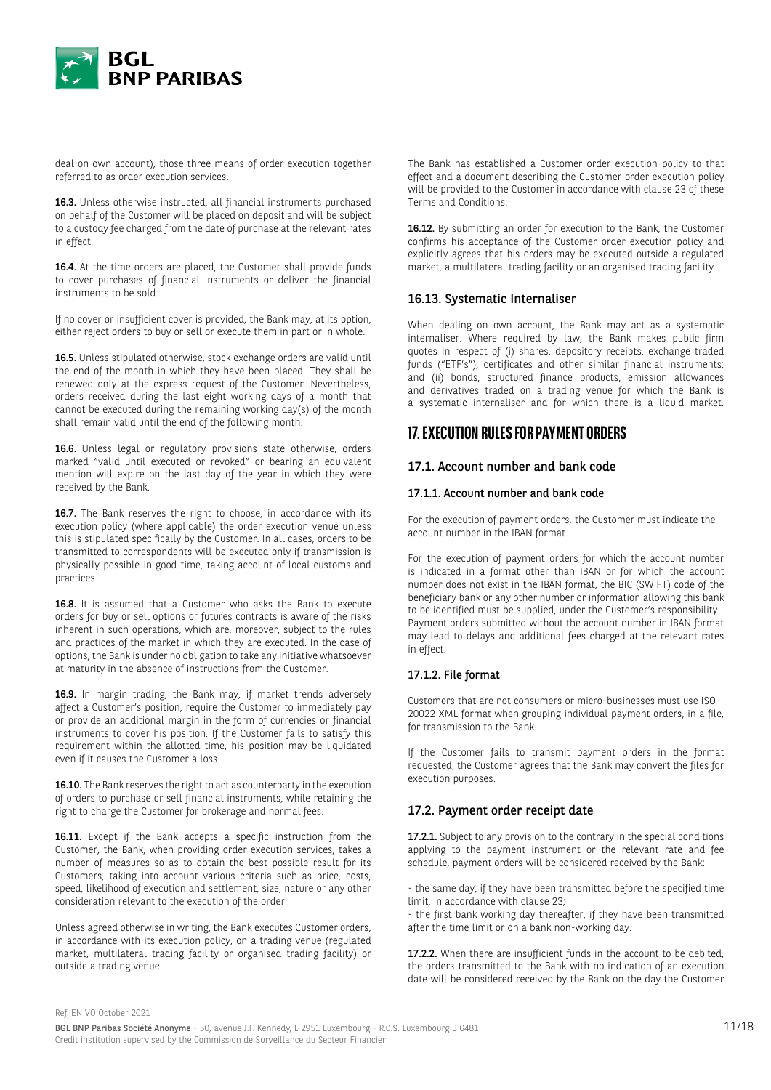

deal on own account), those three means of order execution together referred to as order execution services.

16.3. Unless otherwise instructed, all financial instruments purchased on behalf of the Customer will be placed on deposit and will be subject to a custody fee charged from the date of purchase at the relevant rates in effect.

16.4. At the time orders are placed, the Customer shall provide funds to cover purchases of financial instruments or deliver the financial instruments to be sold.

If no cover or insufficient cover is provided, the Bank may, at its option, either reject orders to buy or sell or execute them in part or in whole.

16.5. Unless stipulated otherwise, stock exchange orders are valid until the end of the month in which they have been placed. They shall be renewed only at the express request of the Customer. Nevertheless, orders received during the last eight working days of a month that cannot be executed during the remaining working day(s) of the month shall remain valid until the end of the following month.

16.6. Unless legal or regulatory provisions state otherwise, orders marked "valid until executed or revoked" or bearing an equivalent mention will expire on the last day of the year in which they were received by the Bank.

16.7. The Bank reserves the right to choose, in accordance with its execution policy (where applicable) the order execution venue unless this is stipulated specifically by the Customer. In all cases, orders to be transmitted to correspondents will be executed only if transmission is physically possible in good time, taking account of local customs and practices.

16.8. It is assumed that a Customer who asks the Bank to execute orders for buy or sell options or futures contracts is aware of the risks inherent in such operations, which are, moreover, subject to the rules and practices of the market in which they are executed. In the case of options, the Bank is under no obligation to take any initiative whatsoever at maturity in the absence of instructions from the Customer.

16.9. In margin trading, the Bank may, if market trends adversely affect a Customer's position, require the Customer to immediately pay or provide an additional margin in the form of currencies or financial instruments to cover his position. If the Customer fails to satisfy this requirement within the allotted time, his position may be liquidated even if it causes the Customer a loss.

16.10. The Bank reserves the right to act as counterparty in the execution of orders to purchase or sell financial instruments, while retaining the right to charge the Customer for brokerage and normal fees.

16.11. Except if the Bank accepts a specific instruction from the Customer, the Bank, when providing order execution services, takes a number of measures so as to obtain the best possible result for its Customers, taking into account various criteria such as price, costs, speed, likelihood of execution and settlement, size, nature or any other consideration relevant to the execution of the order.

Unless agreed otherwise in writing, the Bank executes Customer orders, in accordance with its execution policy, on a trading venue (regulated market, multilateral trading facility or organised trading facility) or outside a trading venue.

The Bank has established a Customer order execution policy to that effect and a document describing the Customer order execution policy will be provided to the Customer in accordance with clause 23 of these Terms and Conditions.

16.12. By submitting an order for execution to the Bank, the Customer confirms his acceptance of the Customer order execution policy and explicitly agrees that his orders may be executed outside a regulated market, a multilateral trading facility or an organised trading facility.

### 16.13. Systematic Internaliser

When dealing on own account, the Bank may act as a systematic internaliser. Where required by law, the Bank makes public firm quotes in respect of (i) shares, depository receipts, exchange traded funds ("ETF's"), certificates and other similar financial instruments; and (ii) bonds, structured finance products, emission allowances and derivatives traded on a trading venue for which the Bank is a systematic internaliser and for which there is a liquid market.

# **17. EXECUTION RULES FOR PAYMENT ORDERS**

#### 17.1. Account number and bank code

#### 17.1.1. Account number and bank code

For the execution of payment orders, the Customer must indicate the account number in the IBAN format.

For the execution of payment orders for which the account number is indicated in a format other than IBAN or for which the account number does not exist in the IBAN format, the BIC (SWIFT) code of the beneficiary bank or any other number or information allowing this bank to be identified must be supplied, under the Customer's responsibility. Payment orders submitted without the account number in IBAN format may lead to delays and additional fees charged at the relevant rates in effect.

#### 17.1.2. File format

Customers that are not consumers or micro-businesses must use ISO 20022 XML format when grouping individual payment orders, in a file, for transmission to the Bank.

If the Customer fails to transmit payment orders in the format requested, the Customer agrees that the Bank may convert the files for execution purposes.

### 17.2. Payment order receipt date

17.2.1. Subject to any provision to the contrary in the special conditions applying to the payment instrument or the relevant rate and fee schedule, payment orders will be considered received by the Bank:

- the same day, if they have been transmitted before the specified time limit, in accordance with clause 23;

- the first bank working day thereafter, if they have been transmitted after the time limit or on a bank non-working day.

17.2.2. When there are insufficient funds in the account to be debited, the orders transmitted to the Bank with no indication of an execution date will be considered received by the Bank on the day the Customer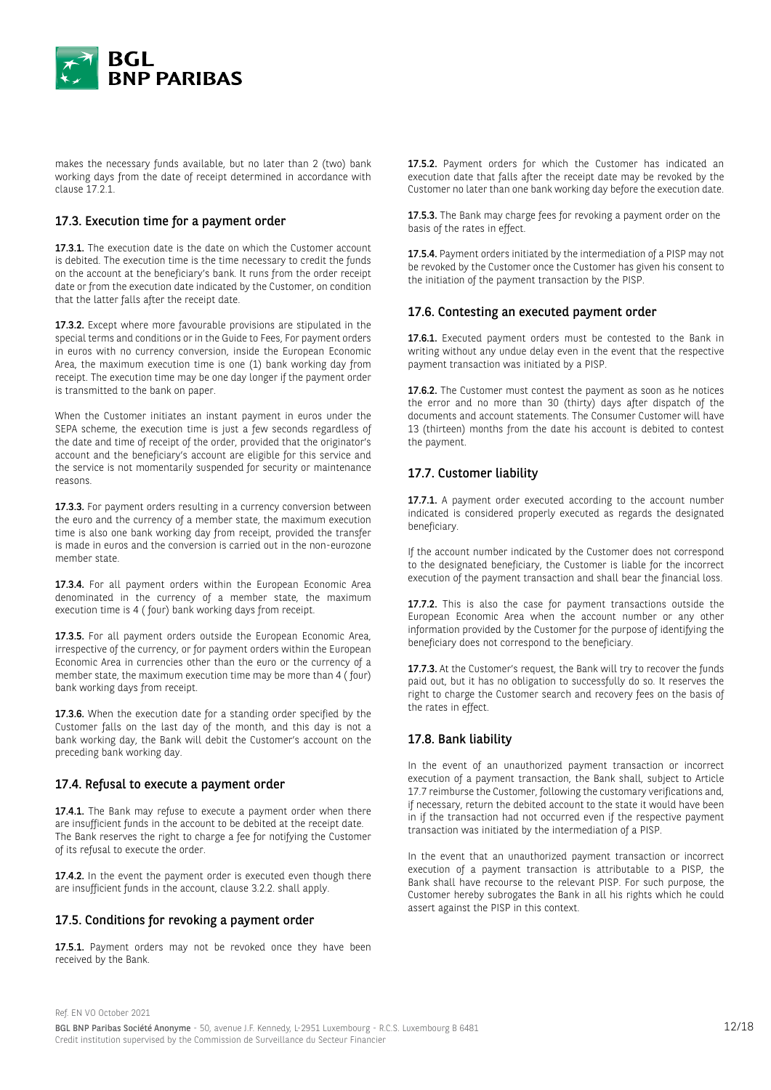

makes the necessary funds available, but no later than 2 (two) bank working days from the date of receipt determined in accordance with clause 17.2.1.

### 17.3. Execution time for a payment order

17.3.1. The execution date is the date on which the Customer account is debited. The execution time is the time necessary to credit the funds on the account at the beneficiary's bank. It runs from the order receipt date or from the execution date indicated by the Customer, on condition that the latter falls after the receipt date.

17.3.2. Except where more favourable provisions are stipulated in the special terms and conditions or in the Guide to Fees, For payment orders in euros with no currency conversion, inside the European Economic Area, the maximum execution time is one (1) bank working day from receipt. The execution time may be one day longer if the payment order is transmitted to the bank on paper.

When the Customer initiates an instant payment in euros under the SEPA scheme, the execution time is just a few seconds regardless of the date and time of receipt of the order, provided that the originator's account and the beneficiary's account are eligible for this service and the service is not momentarily suspended for security or maintenance reasons.

17.3.3. For payment orders resulting in a currency conversion between the euro and the currency of a member state, the maximum execution time is also one bank working day from receipt, provided the transfer is made in euros and the conversion is carried out in the non-eurozone member state.

17.3.4. For all payment orders within the European Economic Area denominated in the currency of a member state, the maximum execution time is 4 ( four) bank working days from receipt.

17.3.5. For all payment orders outside the European Economic Area, irrespective of the currency, or for payment orders within the European Economic Area in currencies other than the euro or the currency of a member state, the maximum execution time may be more than 4 ( four) bank working days from receipt.

17.3.6. When the execution date for a standing order specified by the Customer falls on the last day of the month, and this day is not a bank working day, the Bank will debit the Customer's account on the preceding bank working day.

#### 17.4. Refusal to execute a payment order

17.4.1. The Bank may refuse to execute a payment order when there are insufficient funds in the account to be debited at the receipt date. The Bank reserves the right to charge a fee for notifying the Customer of its refusal to execute the order.

17.4.2. In the event the payment order is executed even though there are insufficient funds in the account, clause 3.2.2. shall apply.

#### 17.5. Conditions for revoking a payment order

17.5.1. Payment orders may not be revoked once they have been received by the Bank.

17.5.2. Payment orders for which the Customer has indicated an execution date that falls after the receipt date may be revoked by the Customer no later than one bank working day before the execution date.

17.5.3. The Bank may charge fees for revoking a payment order on the basis of the rates in effect.

17.5.4. Payment orders initiated by the intermediation of a PISP may not be revoked by the Customer once the Customer has given his consent to the initiation of the payment transaction by the PISP.

#### 17.6. Contesting an executed payment order

17.6.1. Executed payment orders must be contested to the Bank in writing without any undue delay even in the event that the respective payment transaction was initiated by a PISP.

17.6.2. The Customer must contest the payment as soon as he notices the error and no more than 30 (thirty) days after dispatch of the documents and account statements. The Consumer Customer will have 13 (thirteen) months from the date his account is debited to contest the payment.

### 17.7. Customer liability

17.7.1. A payment order executed according to the account number indicated is considered properly executed as regards the designated beneficiary.

If the account number indicated by the Customer does not correspond to the designated beneficiary, the Customer is liable for the incorrect execution of the payment transaction and shall bear the financial loss.

17.7.2. This is also the case for payment transactions outside the European Economic Area when the account number or any other information provided by the Customer for the purpose of identifying the beneficiary does not correspond to the beneficiary.

17.7.3. At the Customer's request, the Bank will try to recover the funds paid out, but it has no obligation to successfully do so. It reserves the right to charge the Customer search and recovery fees on the basis of the rates in effect.

### 17.8. Bank liability

In the event of an unauthorized payment transaction or incorrect execution of a payment transaction, the Bank shall, subject to Article 17.7 reimburse the Customer, following the customary verifications and, if necessary, return the debited account to the state it would have been in if the transaction had not occurred even if the respective payment transaction was initiated by the intermediation of a PISP.

In the event that an unauthorized payment transaction or incorrect execution of a payment transaction is attributable to a PISP, the Bank shall have recourse to the relevant PISP. For such purpose, the Customer hereby subrogates the Bank in all his rights which he could assert against the PISP in this context.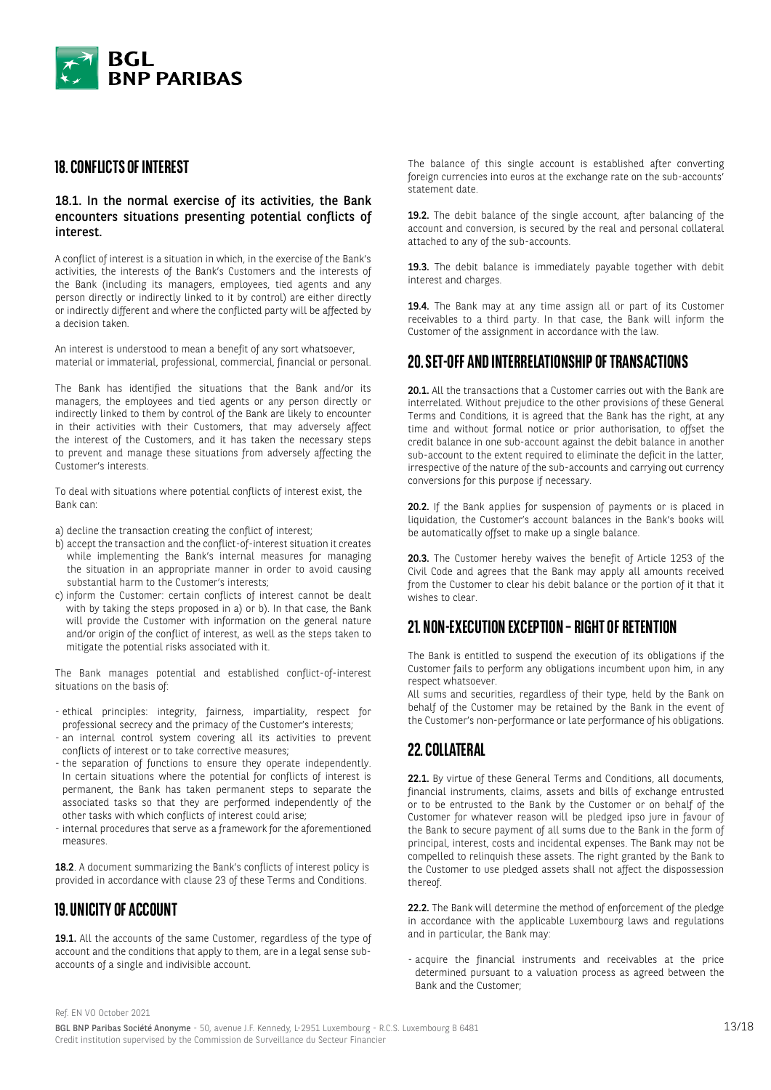

# **18. CONFLICTS OF INTEREST**

### 18.1. In the normal exercise of its activities, the Bank encounters situations presenting potential conflicts of interest.

A conflict of interest is a situation in which, in the exercise of the Bank's activities, the interests of the Bank's Customers and the interests of the Bank (including its managers, employees, tied agents and any person directly or indirectly linked to it by control) are either directly or indirectly different and where the conflicted party will be affected by a decision taken.

An interest is understood to mean a benefit of any sort whatsoever, material or immaterial, professional, commercial, financial or personal.

The Bank has identified the situations that the Bank and/or its managers, the employees and tied agents or any person directly or indirectly linked to them by control of the Bank are likely to encounter in their activities with their Customers, that may adversely affect the interest of the Customers, and it has taken the necessary steps to prevent and manage these situations from adversely affecting the Customer's interests.

To deal with situations where potential conflicts of interest exist, the Bank can:

a) decline the transaction creating the conflict of interest;

- b) accept the transaction and the conflict-of-interest situation it creates while implementing the Bank's internal measures for managing the situation in an appropriate manner in order to avoid causing substantial harm to the Customer's interests;
- c) inform the Customer: certain conflicts of interest cannot be dealt with by taking the steps proposed in a) or b). In that case, the Bank will provide the Customer with information on the general nature and/or origin of the conflict of interest, as well as the steps taken to mitigate the potential risks associated with it.

The Bank manages potential and established conflict-of-interest situations on the basis of:

- ethical principles: integrity, fairness, impartiality, respect for professional secrecy and the primacy of the Customer's interests;
- an internal control system covering all its activities to prevent conflicts of interest or to take corrective measures;
- the separation of functions to ensure they operate independently. In certain situations where the potential for conflicts of interest is permanent, the Bank has taken permanent steps to separate the associated tasks so that they are performed independently of the other tasks with which conflicts of interest could arise;
- internal procedures that serve as a framework for the aforementioned measures.

18.2. A document summarizing the Bank's conflicts of interest policy is provided in accordance with clause 23 of these Terms and Conditions.

# **19. UNICITY OF ACCOUNT**

19.1. All the accounts of the same Customer, regardless of the type of account and the conditions that apply to them, are in a legal sense subaccounts of a single and indivisible account.

The balance of this single account is established after converting foreign currencies into euros at the exchange rate on the sub-accounts' statement date.

19.2. The debit balance of the single account, after balancing of the account and conversion, is secured by the real and personal collateral attached to any of the sub-accounts.

19.3. The debit balance is immediately payable together with debit interest and charges.

19.4. The Bank may at any time assign all or part of its Customer receivables to a third party. In that case, the Bank will inform the Customer of the assignment in accordance with the law.

# **20. SET-OFF AND INTERRELATIONSHIP OF TRANSACTIONS**

20.1. All the transactions that a Customer carries out with the Bank are interrelated. Without prejudice to the other provisions of these General Terms and Conditions, it is agreed that the Bank has the right, at any time and without formal notice or prior authorisation, to offset the credit balance in one sub-account against the debit balance in another sub-account to the extent required to eliminate the deficit in the latter, irrespective of the nature of the sub-accounts and carrying out currency conversions for this purpose if necessary.

20.2. If the Bank applies for suspension of payments or is placed in liquidation, the Customer's account balances in the Bank's books will be automatically offset to make up a single balance.

20.3. The Customer hereby waives the benefit of Article 1253 of the Civil Code and agrees that the Bank may apply all amounts received from the Customer to clear his debit balance or the portion of it that it wishes to clear.

# **21. NON-EXECUTION EXCEPTION – RIGHT OF RETENTION**

The Bank is entitled to suspend the execution of its obligations if the Customer fails to perform any obligations incumbent upon him, in any respect whatsoever.

All sums and securities, regardless of their type, held by the Bank on behalf of the Customer may be retained by the Bank in the event of the Customer's non-performance or late performance of his obligations.

# **22. COLLATERAL**

22.1. By virtue of these General Terms and Conditions, all documents, financial instruments, claims, assets and bills of exchange entrusted or to be entrusted to the Bank by the Customer or on behalf of the Customer for whatever reason will be pledged ipso jure in favour of the Bank to secure payment of all sums due to the Bank in the form of principal, interest, costs and incidental expenses. The Bank may not be compelled to relinquish these assets. The right granted by the Bank to the Customer to use pledged assets shall not affect the dispossession thereof.

22.2. The Bank will determine the method of enforcement of the pledge in accordance with the applicable Luxembourg laws and regulations and in particular, the Bank may:

- acquire the financial instruments and receivables at the price determined pursuant to a valuation process as agreed between the Bank and the Customer;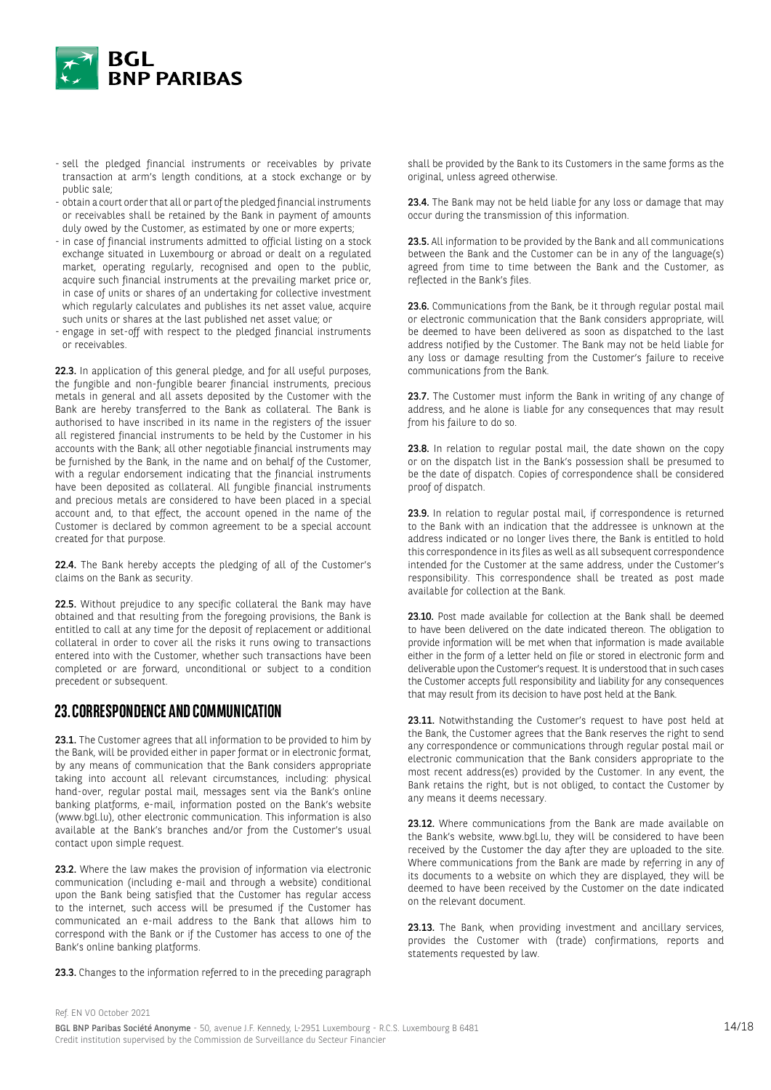

- sell the pledged financial instruments or receivables by private transaction at arm's length conditions, at a stock exchange or by public sale;
- obtain a court order that all or part of the pledged financial instruments or receivables shall be retained by the Bank in payment of amounts duly owed by the Customer, as estimated by one or more experts;
- in case of financial instruments admitted to official listing on a stock exchange situated in Luxembourg or abroad or dealt on a regulated market, operating regularly, recognised and open to the public, acquire such financial instruments at the prevailing market price or, in case of units or shares of an undertaking for collective investment which regularly calculates and publishes its net asset value, acquire such units or shares at the last published net asset value; or
- engage in set-off with respect to the pledged financial instruments or receivables.

22.3. In application of this general pledge, and for all useful purposes, the fungible and non-fungible bearer financial instruments, precious metals in general and all assets deposited by the Customer with the Bank are hereby transferred to the Bank as collateral. The Bank is authorised to have inscribed in its name in the registers of the issuer all registered financial instruments to be held by the Customer in his accounts with the Bank; all other negotiable financial instruments may be furnished by the Bank, in the name and on behalf of the Customer, with a regular endorsement indicating that the financial instruments have been deposited as collateral. All fungible financial instruments and precious metals are considered to have been placed in a special account and, to that effect, the account opened in the name of the Customer is declared by common agreement to be a special account created for that purpose.

22.4. The Bank hereby accepts the pledging of all of the Customer's claims on the Bank as security.

22.5. Without prejudice to any specific collateral the Bank may have obtained and that resulting from the foregoing provisions, the Bank is entitled to call at any time for the deposit of replacement or additional collateral in order to cover all the risks it runs owing to transactions entered into with the Customer, whether such transactions have been completed or are forward, unconditional or subject to a condition precedent or subsequent.

# **23. CORRESPONDENCE AND COMMUNICATION**

23.1. The Customer agrees that all information to be provided to him by the Bank, will be provided either in paper format or in electronic format, by any means of communication that the Bank considers appropriate taking into account all relevant circumstances, including: physical hand-over, regular postal mail, messages sent via the Bank's online banking platforms, e-mail, information posted on the Bank's website (www.bgl.lu), other electronic communication. This information is also available at the Bank's branches and/or from the Customer's usual contact upon simple request.

23.2. Where the law makes the provision of information via electronic communication (including e-mail and through a website) conditional upon the Bank being satisfied that the Customer has regular access to the internet, such access will be presumed if the Customer has communicated an e-mail address to the Bank that allows him to correspond with the Bank or if the Customer has access to one of the Bank's online banking platforms.

23.3. Changes to the information referred to in the preceding paragraph

shall be provided by the Bank to its Customers in the same forms as the original, unless agreed otherwise.

23.4. The Bank may not be held liable for any loss or damage that may occur during the transmission of this information.

23.5. All information to be provided by the Bank and all communications between the Bank and the Customer can be in any of the language(s) agreed from time to time between the Bank and the Customer, as reflected in the Bank's files.

23.6. Communications from the Bank, be it through regular postal mail or electronic communication that the Bank considers appropriate, will be deemed to have been delivered as soon as dispatched to the last address notified by the Customer. The Bank may not be held liable for any loss or damage resulting from the Customer's failure to receive communications from the Bank.

23.7. The Customer must inform the Bank in writing of any change of address, and he alone is liable for any consequences that may result from his failure to do so.

23.8. In relation to regular postal mail, the date shown on the copy or on the dispatch list in the Bank's possession shall be presumed to be the date of dispatch. Copies of correspondence shall be considered proof of dispatch.

23.9. In relation to regular postal mail, if correspondence is returned to the Bank with an indication that the addressee is unknown at the address indicated or no longer lives there, the Bank is entitled to hold this correspondence in its files as well as all subsequent correspondence intended for the Customer at the same address, under the Customer's responsibility. This correspondence shall be treated as post made available for collection at the Bank.

23.10. Post made available for collection at the Bank shall be deemed to have been delivered on the date indicated thereon. The obligation to provide information will be met when that information is made available either in the form of a letter held on file or stored in electronic form and deliverable upon the Customer's request. It is understood that in such cases the Customer accepts full responsibility and liability for any consequences that may result from its decision to have post held at the Bank.

23.11. Notwithstanding the Customer's request to have post held at the Bank, the Customer agrees that the Bank reserves the right to send any correspondence or communications through regular postal mail or electronic communication that the Bank considers appropriate to the most recent address(es) provided by the Customer. In any event, the Bank retains the right, but is not obliged, to contact the Customer by any means it deems necessary.

23.12. Where communications from the Bank are made available on the Bank's website, www.bgl.lu, they will be considered to have been received by the Customer the day after they are uploaded to the site. Where communications from the Bank are made by referring in any of its documents to a website on which they are displayed, they will be deemed to have been received by the Customer on the date indicated on the relevant document.

23.13. The Bank, when providing investment and ancillary services, provides the Customer with (trade) confirmations, reports and statements requested by law.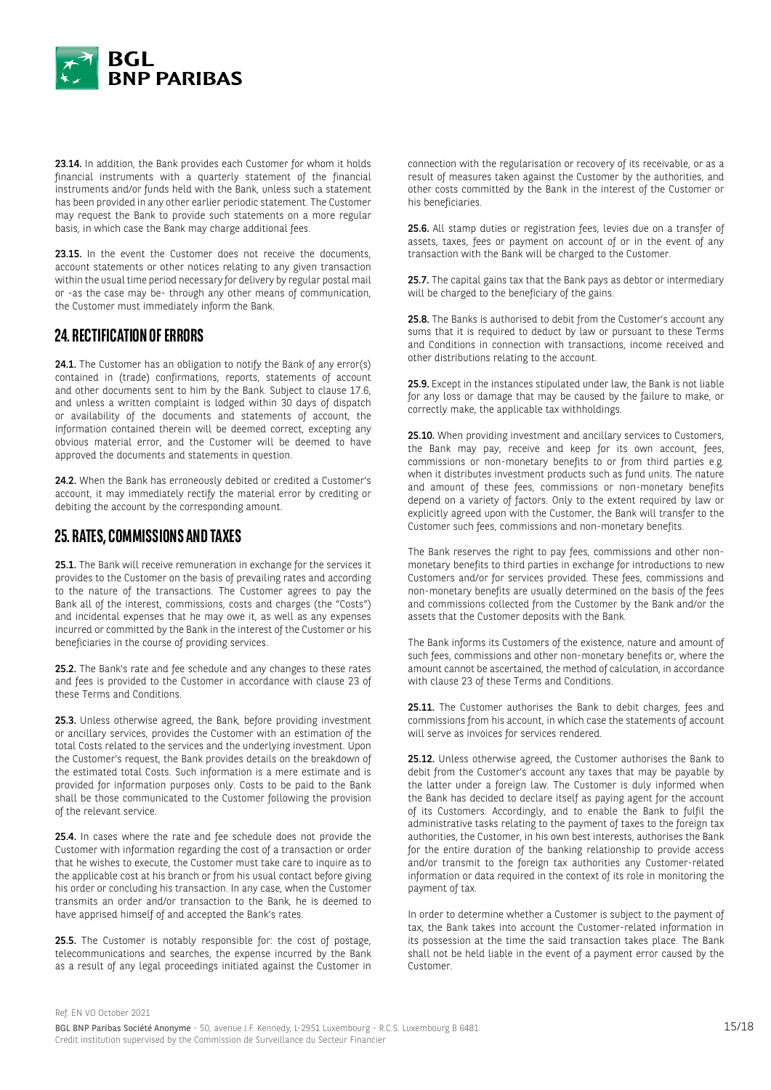

23.14. In addition, the Bank provides each Customer for whom it holds financial instruments with a quarterly statement of the financial instruments and/or funds held with the Bank, unless such a statement has been provided in any other earlier periodic statement. The Customer may request the Bank to provide such statements on a more regular basis, in which case the Bank may charge additional fees.

23.15. In the event the Customer does not receive the documents, account statements or other notices relating to any given transaction within the usual time period necessary for delivery by regular postal mail or -as the case may be- through any other means of communication, the Customer must immediately inform the Bank.

# **24. RECTIFICATION OF ERRORS**

24.1. The Customer has an obligation to notify the Bank of any error(s) contained in (trade) confirmations, reports, statements of account and other documents sent to him by the Bank. Subject to clause 17.6, and unless a written complaint is lodged within 30 days of dispatch or availability of the documents and statements of account, the information contained therein will be deemed correct, excepting any obvious material error, and the Customer will be deemed to have approved the documents and statements in question.

24.2. When the Bank has erroneously debited or credited a Customer's account, it may immediately rectify the material error by crediting or debiting the account by the corresponding amount.

# **25. RATES, COMMISSIONS AND TAXES**

25.1. The Bank will receive remuneration in exchange for the services it provides to the Customer on the basis of prevailing rates and according to the nature of the transactions. The Customer agrees to pay the Bank all of the interest, commissions, costs and charges (the "Costs") and incidental expenses that he may owe it, as well as any expenses incurred or committed by the Bank in the interest of the Customer or his beneficiaries in the course of providing services.

25.2. The Bank's rate and fee schedule and any changes to these rates and fees is provided to the Customer in accordance with clause 23 of these Terms and Conditions.

25.3. Unless otherwise agreed, the Bank, before providing investment or ancillary services, provides the Customer with an estimation of the total Costs related to the services and the underlying investment. Upon the Customer's request, the Bank provides details on the breakdown of the estimated total Costs. Such information is a mere estimate and is provided for information purposes only. Costs to be paid to the Bank shall be those communicated to the Customer following the provision of the relevant service.

25.4. In cases where the rate and fee schedule does not provide the Customer with information regarding the cost of a transaction or order that he wishes to execute, the Customer must take care to inquire as to the applicable cost at his branch or from his usual contact before giving his order or concluding his transaction. In any case, when the Customer transmits an order and/or transaction to the Bank, he is deemed to have apprised himself of and accepted the Bank's rates.

25.5. The Customer is notably responsible for: the cost of postage, telecommunications and searches, the expense incurred by the Bank as a result of any legal proceedings initiated against the Customer in connection with the regularisation or recovery of its receivable, or as a result of measures taken against the Customer by the authorities, and other costs committed by the Bank in the interest of the Customer or his beneficiaries.

25.6. All stamp duties or registration fees, levies due on a transfer of assets, taxes, fees or payment on account of or in the event of any transaction with the Bank will be charged to the Customer.

25.7. The capital gains tax that the Bank pays as debtor or intermediary will be charged to the beneficiary of the gains.

25.8. The Banks is authorised to debit from the Customer's account any sums that it is required to deduct by law or pursuant to these Terms and Conditions in connection with transactions, income received and other distributions relating to the account.

25.9. Except in the instances stipulated under law, the Bank is not liable for any loss or damage that may be caused by the failure to make, or correctly make, the applicable tax withholdings.

25.10. When providing investment and ancillary services to Customers. the Bank may pay, receive and keep for its own account, fees, commissions or non-monetary benefits to or from third parties e.g. when it distributes investment products such as fund units. The nature and amount of these fees, commissions or non-monetary benefits depend on a variety of factors. Only to the extent required by law or explicitly agreed upon with the Customer, the Bank will transfer to the Customer such fees, commissions and non-monetary benefits.

The Bank reserves the right to pay fees, commissions and other nonmonetary benefits to third parties in exchange for introductions to new Customers and/or for services provided. These fees, commissions and non-monetary benefits are usually determined on the basis of the fees and commissions collected from the Customer by the Bank and/or the assets that the Customer deposits with the Bank.

The Bank informs its Customers of the existence, nature and amount of such fees, commissions and other non-monetary benefits or, where the amount cannot be ascertained, the method of calculation, in accordance with clause 23 of these Terms and Conditions.

25.11. The Customer authorises the Bank to debit charges, fees and commissions from his account, in which case the statements of account will serve as invoices for services rendered.

25.12. Unless otherwise agreed, the Customer authorises the Bank to debit from the Customer's account any taxes that may be payable by the latter under a foreign law. The Customer is duly informed when the Bank has decided to declare itself as paying agent for the account of its Customers. Accordingly, and to enable the Bank to fulfil the administrative tasks relating to the payment of taxes to the foreign tax authorities, the Customer, in his own best interests, authorises the Bank for the entire duration of the banking relationship to provide access and/or transmit to the foreign tax authorities any Customer-related information or data required in the context of its role in monitoring the payment of tax.

In order to determine whether a Customer is subject to the payment of tax, the Bank takes into account the Customer-related information in its possession at the time the said transaction takes place. The Bank shall not be held liable in the event of a payment error caused by the Customer.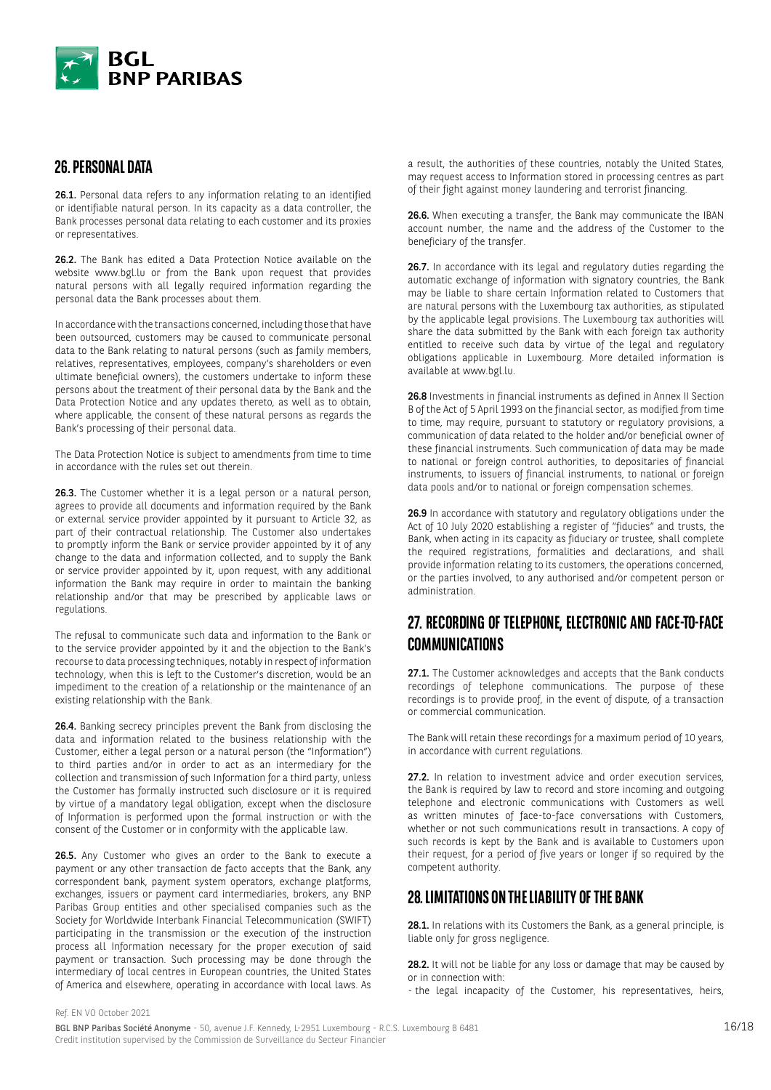

# **26. PERSONAL DATA**

26.1. Personal data refers to any information relating to an identified or identifiable natural person. In its capacity as a data controller, the Bank processes personal data relating to each customer and its proxies or representatives.

26.2. The Bank has edited a Data Protection Notice available on the website www.bgl.lu or from the Bank upon request that provides natural persons with all legally required information regarding the personal data the Bank processes about them.

In accordance with the transactions concerned, including those that have been outsourced, customers may be caused to communicate personal data to the Bank relating to natural persons (such as family members, relatives, representatives, employees, company's shareholders or even ultimate beneficial owners), the customers undertake to inform these persons about the treatment of their personal data by the Bank and the Data Protection Notice and any updates thereto, as well as to obtain, where applicable, the consent of these natural persons as regards the Bank's processing of their personal data.

The Data Protection Notice is subject to amendments from time to time in accordance with the rules set out therein.

26.3. The Customer whether it is a legal person or a natural person, agrees to provide all documents and information required by the Bank or external service provider appointed by it pursuant to Article 32, as part of their contractual relationship. The Customer also undertakes to promptly inform the Bank or service provider appointed by it of any change to the data and information collected, and to supply the Bank or service provider appointed by it, upon request, with any additional information the Bank may require in order to maintain the banking relationship and/or that may be prescribed by applicable laws or regulations.

The refusal to communicate such data and information to the Bank or to the service provider appointed by it and the objection to the Bank's recourse to data processing techniques, notably in respect of information technology, when this is left to the Customer's discretion, would be an impediment to the creation of a relationship or the maintenance of an existing relationship with the Bank.

26.4. Banking secrecy principles prevent the Bank from disclosing the data and information related to the business relationship with the Customer, either a legal person or a natural person (the "Information") to third parties and/or in order to act as an intermediary for the collection and transmission of such Information for a third party, unless the Customer has formally instructed such disclosure or it is required by virtue of a mandatory legal obligation, except when the disclosure of Information is performed upon the formal instruction or with the consent of the Customer or in conformity with the applicable law.

26.5. Any Customer who gives an order to the Bank to execute a payment or any other transaction de facto accepts that the Bank, any correspondent bank, payment system operators, exchange platforms, exchanges, issuers or payment card intermediaries, brokers, any BNP Paribas Group entities and other specialised companies such as the Society for Worldwide Interbank Financial Telecommunication (SWIFT) participating in the transmission or the execution of the instruction process all Information necessary for the proper execution of said payment or transaction. Such processing may be done through the intermediary of local centres in European countries, the United States of America and elsewhere, operating in accordance with local laws. As a result, the authorities of these countries, notably the United States, may request access to Information stored in processing centres as part of their fight against money laundering and terrorist financing.

26.6. When executing a transfer, the Bank may communicate the IBAN account number, the name and the address of the Customer to the beneficiary of the transfer.

26.7. In accordance with its legal and regulatory duties regarding the automatic exchange of information with signatory countries, the Bank may be liable to share certain Information related to Customers that are natural persons with the Luxembourg tax authorities, as stipulated by the applicable legal provisions. The Luxembourg tax authorities will share the data submitted by the Bank with each foreign tax authority entitled to receive such data by virtue of the legal and regulatory obligations applicable in Luxembourg. More detailed information is available at www.bgl.lu.

26.8 Investments in financial instruments as defined in Annex II Section B of the Act of 5 April 1993 on the financial sector, as modified from time to time, may require, pursuant to statutory or regulatory provisions, a communication of data related to the holder and/or beneficial owner of these financial instruments. Such communication of data may be made to national or foreign control authorities, to depositaries of financial instruments, to issuers of financial instruments, to national or foreign data pools and/or to national or foreign compensation schemes.

26.9 In accordance with statutory and regulatory obligations under the Act of 10 July 2020 establishing a register of "fiducies" and trusts, the Bank, when acting in its capacity as fiduciary or trustee, shall complete the required registrations, formalities and declarations, and shall provide information relating to its customers, the operations concerned, or the parties involved, to any authorised and/or competent person or administration.

# **27. RECORDING OF TELEPHONE, ELECTRONIC AND FACE-TO-FACE COMMUNICATIONS**

27.1. The Customer acknowledges and accepts that the Bank conducts recordings of telephone communications. The purpose of these recordings is to provide proof, in the event of dispute, of a transaction or commercial communication.

The Bank will retain these recordings for a maximum period of 10 years, in accordance with current regulations.

27.2. In relation to investment advice and order execution services, the Bank is required by law to record and store incoming and outgoing telephone and electronic communications with Customers as well as written minutes of face-to-face conversations with Customers, whether or not such communications result in transactions. A copy of such records is kept by the Bank and is available to Customers upon their request, for a period of five years or longer if so required by the competent authority.

# **28. LIMITATIONS ON THE LIABILITY OF THE BANK**

28.1. In relations with its Customers the Bank, as a general principle, is liable only for gross negligence.

28.2. It will not be liable for any loss or damage that may be caused by or in connection with:

- the legal incapacity of the Customer, his representatives, heirs,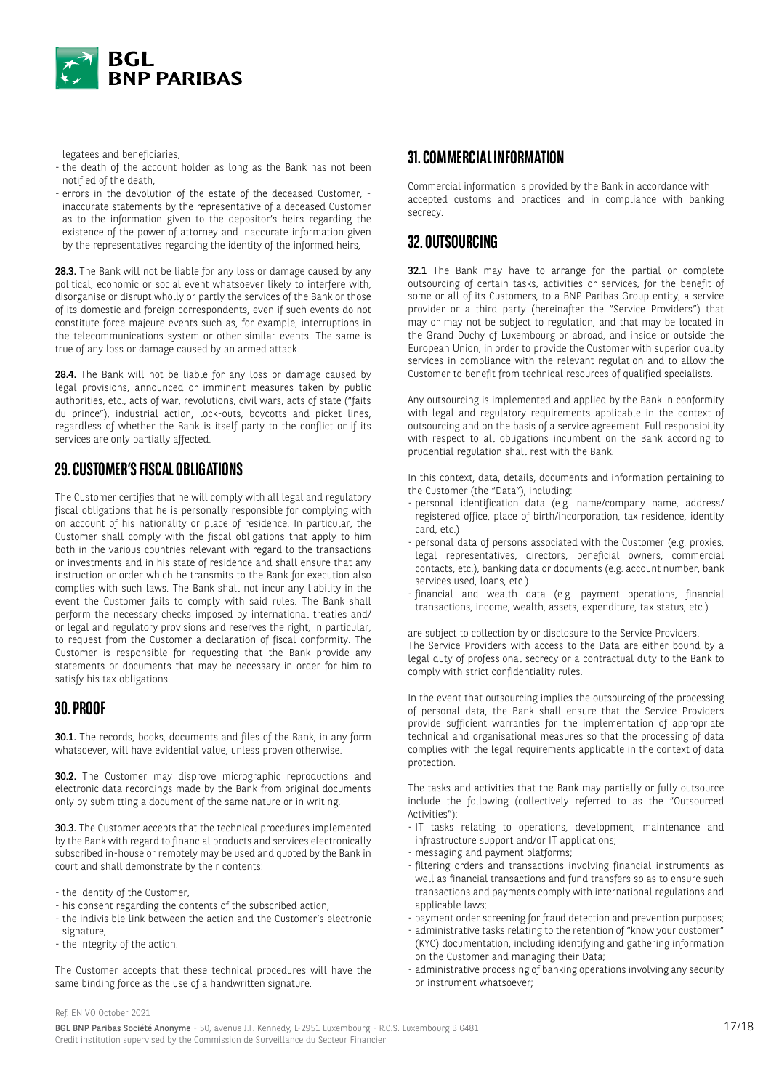

legatees and beneficiaries,

- the death of the account holder as long as the Bank has not been notified of the death,
- errors in the devolution of the estate of the deceased Customer, inaccurate statements by the representative of a deceased Customer as to the information given to the depositor's heirs regarding the existence of the power of attorney and inaccurate information given by the representatives regarding the identity of the informed heirs,

28.3. The Bank will not be liable for any loss or damage caused by any political, economic or social event whatsoever likely to interfere with, disorganise or disrupt wholly or partly the services of the Bank or those of its domestic and foreign correspondents, even if such events do not constitute force majeure events such as, for example, interruptions in the telecommunications system or other similar events. The same is true of any loss or damage caused by an armed attack.

28.4. The Bank will not be liable for any loss or damage caused by legal provisions, announced or imminent measures taken by public authorities, etc., acts of war, revolutions, civil wars, acts of state ("faits du prince"), industrial action, lock-outs, boycotts and picket lines, regardless of whether the Bank is itself party to the conflict or if its services are only partially affected.

# **29. CUSTOMER'S FISCAL OBLIGATIONS**

The Customer certifies that he will comply with all legal and regulatory fiscal obligations that he is personally responsible for complying with on account of his nationality or place of residence. In particular, the Customer shall comply with the fiscal obligations that apply to him both in the various countries relevant with regard to the transactions or investments and in his state of residence and shall ensure that any instruction or order which he transmits to the Bank for execution also complies with such laws. The Bank shall not incur any liability in the event the Customer fails to comply with said rules. The Bank shall perform the necessary checks imposed by international treaties and/ or legal and regulatory provisions and reserves the right, in particular, to request from the Customer a declaration of fiscal conformity. The Customer is responsible for requesting that the Bank provide any statements or documents that may be necessary in order for him to satisfy his tax obligations.

# **30. PROOF**

30.1. The records, books, documents and files of the Bank, in any form whatsoever, will have evidential value, unless proven otherwise.

30.2. The Customer may disprove micrographic reproductions and electronic data recordings made by the Bank from original documents only by submitting a document of the same nature or in writing.

30.3. The Customer accepts that the technical procedures implemented by the Bank with regard to financial products and services electronically subscribed in-house or remotely may be used and quoted by the Bank in court and shall demonstrate by their contents:

- the identity of the Customer,
- his consent regarding the contents of the subscribed action,
- the indivisible link between the action and the Customer's electronic signature,
- the integrity of the action.

The Customer accepts that these technical procedures will have the same binding force as the use of a handwritten signature.

# **31. COMMERCIAL INFORMATION**

Commercial information is provided by the Bank in accordance with accepted customs and practices and in compliance with banking secrecy.

# **32. OUTSOURCING**

32.1 The Bank may have to arrange for the partial or complete outsourcing of certain tasks, activities or services, for the benefit of some or all of its Customers, to a BNP Paribas Group entity, a service provider or a third party (hereinafter the "Service Providers") that may or may not be subject to regulation, and that may be located in the Grand Duchy of Luxembourg or abroad, and inside or outside the European Union, in order to provide the Customer with superior quality services in compliance with the relevant regulation and to allow the Customer to benefit from technical resources of qualified specialists.

Any outsourcing is implemented and applied by the Bank in conformity with legal and regulatory requirements applicable in the context of outsourcing and on the basis of a service agreement. Full responsibility with respect to all obligations incumbent on the Bank according to prudential regulation shall rest with the Bank.

In this context, data, details, documents and information pertaining to the Customer (the "Data"), including:

- personal identification data (e.g. name/company name, address/ registered office, place of birth/incorporation, tax residence, identity card, etc.)
- personal data of persons associated with the Customer (e.g. proxies, legal representatives, directors, beneficial owners, commercial contacts, etc.), banking data or documents (e.g. account number, bank services used, loans, etc.)
- financial and wealth data (e.g. payment operations, financial transactions, income, wealth, assets, expenditure, tax status, etc.)

are subject to collection by or disclosure to the Service Providers. The Service Providers with access to the Data are either bound by a legal duty of professional secrecy or a contractual duty to the Bank to comply with strict confidentiality rules.

In the event that outsourcing implies the outsourcing of the processing of personal data, the Bank shall ensure that the Service Providers provide sufficient warranties for the implementation of appropriate technical and organisational measures so that the processing of data complies with the legal requirements applicable in the context of data protection.

The tasks and activities that the Bank may partially or fully outsource include the following (collectively referred to as the "Outsourced Activities"):

- IT tasks relating to operations, development, maintenance and infrastructure support and/or IT applications;
- messaging and payment platforms;
- filtering orders and transactions involving financial instruments as well as financial transactions and fund transfers so as to ensure such transactions and payments comply with international regulations and applicable laws;
- payment order screening for fraud detection and prevention purposes;
- administrative tasks relating to the retention of "know your customer" (KYC) documentation, including identifying and gathering information on the Customer and managing their Data;
- administrative processing of banking operations involving any security or instrument whatsoever;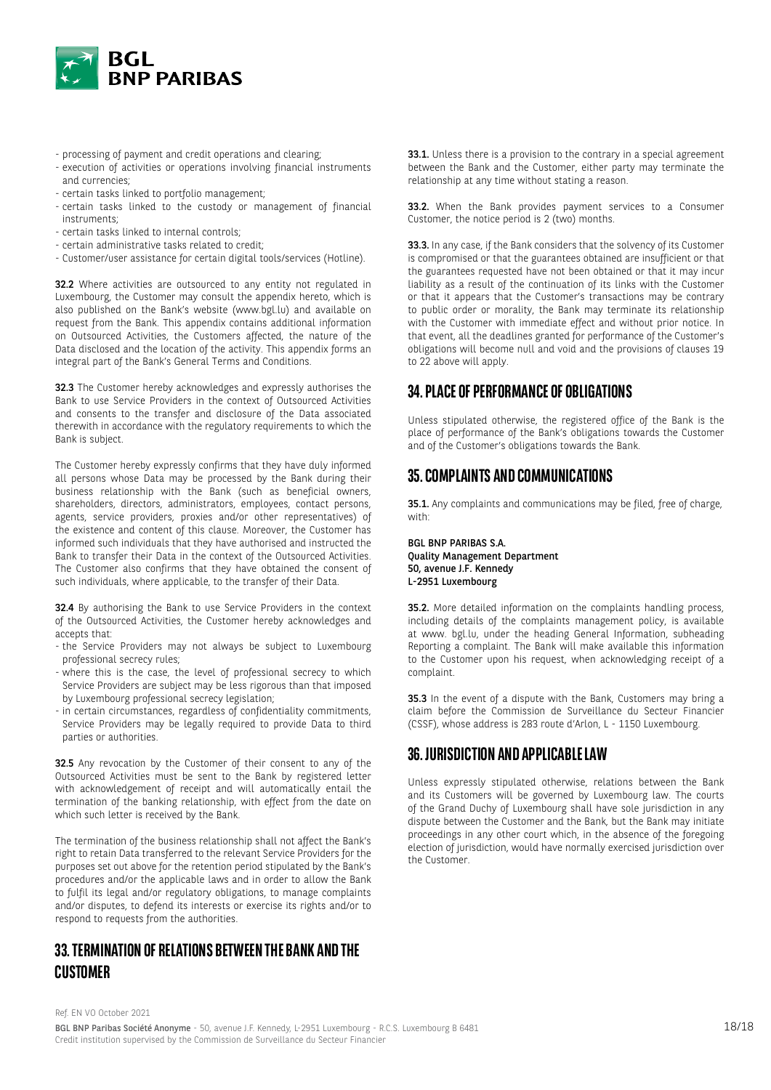

- processing of payment and credit operations and clearing;
- execution of activities or operations involving financial instruments and currencies;
- certain tasks linked to portfolio management;
- certain tasks linked to the custody or management of financial instruments;
- certain tasks linked to internal controls;
- certain administrative tasks related to credit;
- Customer/user assistance for certain digital tools/services (Hotline).

32.2 Where activities are outsourced to any entity not regulated in Luxembourg, the Customer may consult the appendix hereto, which is also published on the Bank's website (www.bgl.lu) and available on request from the Bank. This appendix contains additional information on Outsourced Activities, the Customers affected, the nature of the Data disclosed and the location of the activity. This appendix forms an integral part of the Bank's General Terms and Conditions.

32.3 The Customer hereby acknowledges and expressly authorises the Bank to use Service Providers in the context of Outsourced Activities and consents to the transfer and disclosure of the Data associated therewith in accordance with the regulatory requirements to which the Bank is subject.

The Customer hereby expressly confirms that they have duly informed all persons whose Data may be processed by the Bank during their business relationship with the Bank (such as beneficial owners, shareholders, directors, administrators, employees, contact persons, agents, service providers, proxies and/or other representatives) of the existence and content of this clause. Moreover, the Customer has informed such individuals that they have authorised and instructed the Bank to transfer their Data in the context of the Outsourced Activities. The Customer also confirms that they have obtained the consent of such individuals, where applicable, to the transfer of their Data.

32.4 By authorising the Bank to use Service Providers in the context of the Outsourced Activities, the Customer hereby acknowledges and accepts that:

- the Service Providers may not always be subject to Luxembourg professional secrecy rules;
- where this is the case, the level of professional secrecy to which Service Providers are subject may be less rigorous than that imposed by Luxembourg professional secrecy legislation;
- in certain circumstances, regardless of confidentiality commitments, Service Providers may be legally required to provide Data to third parties or authorities.

32.5 Any revocation by the Customer of their consent to any of the Outsourced Activities must be sent to the Bank by registered letter with acknowledgement of receipt and will automatically entail the termination of the banking relationship, with effect from the date on which such letter is received by the Bank.

The termination of the business relationship shall not affect the Bank's right to retain Data transferred to the relevant Service Providers for the purposes set out above for the retention period stipulated by the Bank's procedures and/or the applicable laws and in order to allow the Bank to fulfil its legal and/or regulatory obligations, to manage complaints and/or disputes, to defend its interests or exercise its rights and/or to respond to requests from the authorities.

# **33. TERMINATION OF RELATIONS BETWEEN THE BANK AND THE CUSTOMER**

33.1. Unless there is a provision to the contrary in a special agreement between the Bank and the Customer, either party may terminate the relationship at any time without stating a reason.

33.2. When the Bank provides payment services to a Consumer Customer, the notice period is 2 (two) months.

33.3. In any case, if the Bank considers that the solvency of its Customer is compromised or that the guarantees obtained are insufficient or that the guarantees requested have not been obtained or that it may incur liability as a result of the continuation of its links with the Customer or that it appears that the Customer's transactions may be contrary to public order or morality, the Bank may terminate its relationship with the Customer with immediate effect and without prior notice. In that event, all the deadlines granted for performance of the Customer's obligations will become null and void and the provisions of clauses 19 to 22 above will apply.

# **34. PLACE OF PERFORMANCE OF OBLIGATIONS**

Unless stipulated otherwise, the registered office of the Bank is the place of performance of the Bank's obligations towards the Customer and of the Customer's obligations towards the Bank.

# **35. COMPLAINTS AND COMMUNICATIONS**

35.1. Any complaints and communications may be filed, free of charge, with:

BGL BNP PARIBAS S.A. Quality Management Department 50, avenue J.F. Kennedy L-2951 Luxembourg

35.2. More detailed information on the complaints handling process, including details of the complaints management policy, is available at www. bgl.lu, under the heading General Information, subheading Reporting a complaint. The Bank will make available this information to the Customer upon his request, when acknowledging receipt of a complaint.

35.3 In the event of a dispute with the Bank, Customers may bring a claim before the Commission de Surveillance du Secteur Financier (CSSF), whose address is 283 route d'Arlon, L - 1150 Luxembourg.

# **36. JURISDICTION AND APPLICABLE LAW**

Unless expressly stipulated otherwise, relations between the Bank and its Customers will be governed by Luxembourg law. The courts of the Grand Duchy of Luxembourg shall have sole jurisdiction in any dispute between the Customer and the Bank, but the Bank may initiate proceedings in any other court which, in the absence of the foregoing election of jurisdiction, would have normally exercised jurisdiction over the Customer.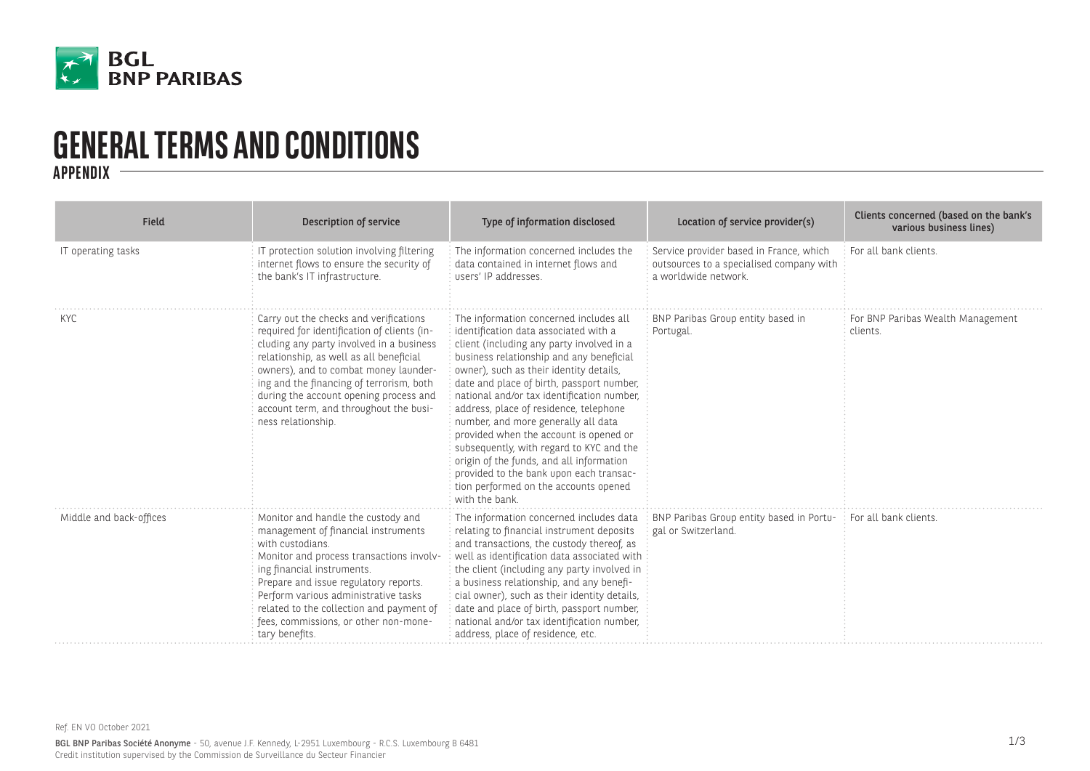

# **GENERAL TERMS AND CONDITIONS APPENDIX**

| Field                   | Description of service                                                                                                                                                                                                                                                                                                                                                      | Type of information disclosed                                                                                                                                                                                                                                                                                                                                                                                                                                                                                                                                                                                                          | Location of service provider(s)                                                                             | Clients concerned (based on the bank's<br>various business lines) |
|-------------------------|-----------------------------------------------------------------------------------------------------------------------------------------------------------------------------------------------------------------------------------------------------------------------------------------------------------------------------------------------------------------------------|----------------------------------------------------------------------------------------------------------------------------------------------------------------------------------------------------------------------------------------------------------------------------------------------------------------------------------------------------------------------------------------------------------------------------------------------------------------------------------------------------------------------------------------------------------------------------------------------------------------------------------------|-------------------------------------------------------------------------------------------------------------|-------------------------------------------------------------------|
| IT operating tasks      | IT protection solution involving filtering<br>internet flows to ensure the security of<br>the bank's IT infrastructure.                                                                                                                                                                                                                                                     | The information concerned includes the<br>data contained in internet flows and<br>users' IP addresses.                                                                                                                                                                                                                                                                                                                                                                                                                                                                                                                                 | Service provider based in France, which<br>outsources to a specialised company with<br>a worldwide network. | For all bank clients.                                             |
| KYC                     | Carry out the checks and verifications<br>required for identification of clients (in-<br>cluding any party involved in a business<br>relationship, as well as all beneficial<br>owners), and to combat money launder-<br>ing and the financing of terrorism, both<br>during the account opening process and<br>account term, and throughout the busi-<br>ness relationship. | The information concerned includes all<br>identification data associated with a<br>client (including any party involved in a<br>business relationship and any beneficial<br>owner), such as their identity details,<br>date and place of birth, passport number,<br>national and/or tax identification number,<br>address, place of residence, telephone<br>number, and more generally all data<br>provided when the account is opened or<br>subsequently, with regard to KYC and the<br>origin of the funds, and all information<br>provided to the bank upon each transac-<br>tion performed on the accounts opened<br>with the bank | BNP Paribas Group entity based in<br>Portugal.                                                              | For BNP Paribas Wealth Management<br>clients.                     |
| Middle and back-offices | Monitor and handle the custody and<br>management of financial instruments<br>with custodians.<br>Monitor and process transactions involv-<br>ing financial instruments.<br>Prepare and issue regulatory reports.<br>Perform various administrative tasks<br>related to the collection and payment of<br>fees, commissions, or other non-mone-<br>tary benefits.             | The information concerned includes data<br>relating to financial instrument deposits<br>and transactions, the custody thereof, as<br>well as identification data associated with<br>the client (including any party involved in<br>a business relationship, and any benefi-<br>cial owner), such as their identity details,<br>date and place of birth, passport number,<br>national and/or tax identification number,<br>address, place of residence, etc.                                                                                                                                                                            | BNP Paribas Group entity based in Portu-<br>gal or Switzerland.                                             | For all bank clients.                                             |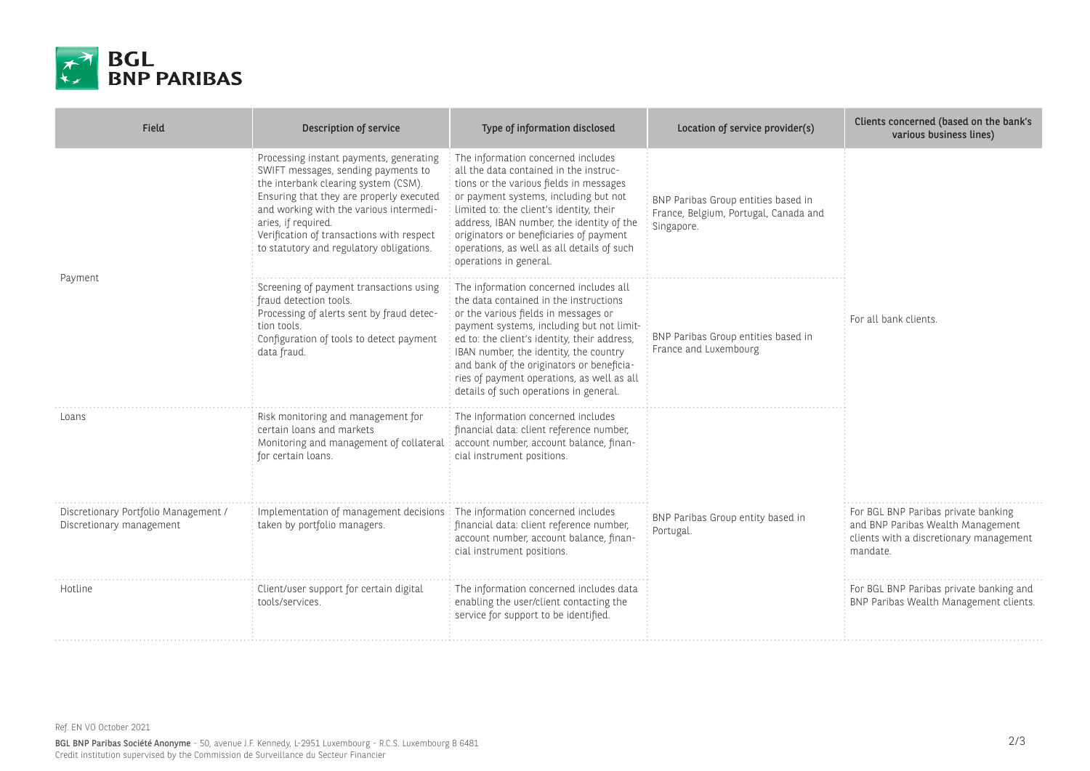

| Field                                                            | Description of service                                                                                                                                                                                                                                                                                                        | Type of information disclosed                                                                                                                                                                                                                                                                                                                                                                        | Location of service provider(s)                                                            | Clients concerned (based on the bank's<br>various business lines)                                                               |
|------------------------------------------------------------------|-------------------------------------------------------------------------------------------------------------------------------------------------------------------------------------------------------------------------------------------------------------------------------------------------------------------------------|------------------------------------------------------------------------------------------------------------------------------------------------------------------------------------------------------------------------------------------------------------------------------------------------------------------------------------------------------------------------------------------------------|--------------------------------------------------------------------------------------------|---------------------------------------------------------------------------------------------------------------------------------|
| Payment                                                          | Processing instant payments, generating<br>SWIFT messages, sending payments to<br>the interbank clearing system (CSM).<br>Ensuring that they are properly executed<br>and working with the various intermedi-<br>aries, if required.<br>Verification of transactions with respect<br>to statutory and regulatory obligations. | The information concerned includes<br>all the data contained in the instruc-<br>tions or the various fields in messages<br>or payment systems, including but not<br>limited to: the client's identity, their<br>address, IBAN number, the identity of the<br>originators or beneficiaries of payment<br>operations, as well as all details of such<br>operations in general.                         | BNP Paribas Group entities based in<br>France, Belgium, Portugal, Canada and<br>Singapore. | For all bank clients.                                                                                                           |
|                                                                  | Screening of payment transactions using<br>fraud detection tools.<br>Processing of alerts sent by fraud detec-<br>tion tools.<br>Configuration of tools to detect payment<br>data fraud.                                                                                                                                      | The information concerned includes all<br>the data contained in the instructions<br>or the various fields in messages or<br>payment systems, including but not limit-<br>ed to: the client's identity, their address,<br>IBAN number, the identity, the country<br>and bank of the originators or beneficia-<br>ries of payment operations, as well as all<br>details of such operations in general. | BNP Paribas Group entities based in<br>France and Luxembourg                               |                                                                                                                                 |
| Loans                                                            | Risk monitoring and management for<br>certain loans and markets<br>Monitoring and management of collateral account number, account balance, finan-<br>for certain loans.                                                                                                                                                      | The information concerned includes<br>financial data: client reference number,<br>cial instrument positions.                                                                                                                                                                                                                                                                                         |                                                                                            |                                                                                                                                 |
| Discretionary Portfolio Management /<br>Discretionary management | Implementation of management decisions   The information concerned includes<br>taken by portfolio managers.                                                                                                                                                                                                                   | financial data: client reference number,<br>account number, account balance, finan-<br>cial instrument positions.                                                                                                                                                                                                                                                                                    | BNP Paribas Group entity based in<br>Portugal.                                             | For BGL BNP Paribas private banking<br>and BNP Paribas Wealth Management<br>clients with a discretionary management<br>mandate. |
| Hotline                                                          | Client/user support for certain digital<br>tools/services.                                                                                                                                                                                                                                                                    | The information concerned includes data<br>enabling the user/client contacting the<br>service for support to be identified.                                                                                                                                                                                                                                                                          |                                                                                            | For BGL BNP Paribas private banking and<br>BNP Paribas Wealth Management clients.                                               |